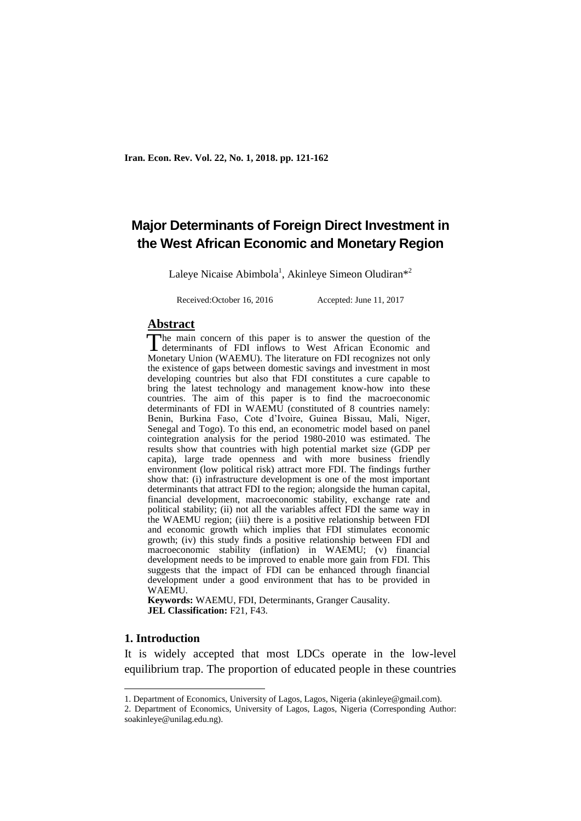# **Major Determinants of Foreign Direct Investment in the West African Economic and Monetary Region**

Laleye Nicaise Abimbola<sup>1</sup>, Akinleye Simeon Oludiran<sup>\*2</sup>

Received:October 16, 2016 Accepted: June 11, 2017

#### **Abstract**

he main concern of this paper is to answer the question of the The main concern of this paper is to answer the question of the determinants of FDI inflows to West African Economic and Monetary Union (WAEMU). The literature on FDI recognizes not only the existence of gaps between domestic savings and investment in most developing countries but also that FDI constitutes a cure capable to bring the latest technology and management know-how into these countries. The aim of this paper is to find the macroeconomic determinants of FDI in WAEMU (constituted of 8 countries namely: Benin, Burkina Faso, Cote d'Ivoire, Guinea Bissau, Mali, Niger, Senegal and Togo). To this end, an econometric model based on panel cointegration analysis for the period 1980-2010 was estimated. The results show that countries with high potential market size (GDP per capita), large trade openness and with more business friendly environment (low political risk) attract more FDI. The findings further show that: (i) infrastructure development is one of the most important determinants that attract FDI to the region; alongside the human capital, financial development, macroeconomic stability, exchange rate and political stability; (ii) not all the variables affect FDI the same way in the WAEMU region; (iii) there is a positive relationship between FDI and economic growth which implies that FDI stimulates economic growth; (iv) this study finds a positive relationship between FDI and macroeconomic stability (inflation) in WAEMU; (v) financial development needs to be improved to enable more gain from FDI. This suggests that the impact of FDI can be enhanced through financial development under a good environment that has to be provided in WAEMU.

**Keywords:** WAEMU, FDI, Determinants, Granger Causality. **JEL Classification:** F21, F43.

## **1. Introduction**

**.** 

It is widely accepted that most LDCs operate in the low-level equilibrium trap. The proportion of educated people in these countries

<sup>1.</sup> Department of Economics, University of Lagos, Lagos, Nigeria (akinleye@gmail.com).

<sup>2.</sup> Department of Economics, University of Lagos, Lagos, Nigeria (Corresponding Author: soakinleye@unilag.edu.ng).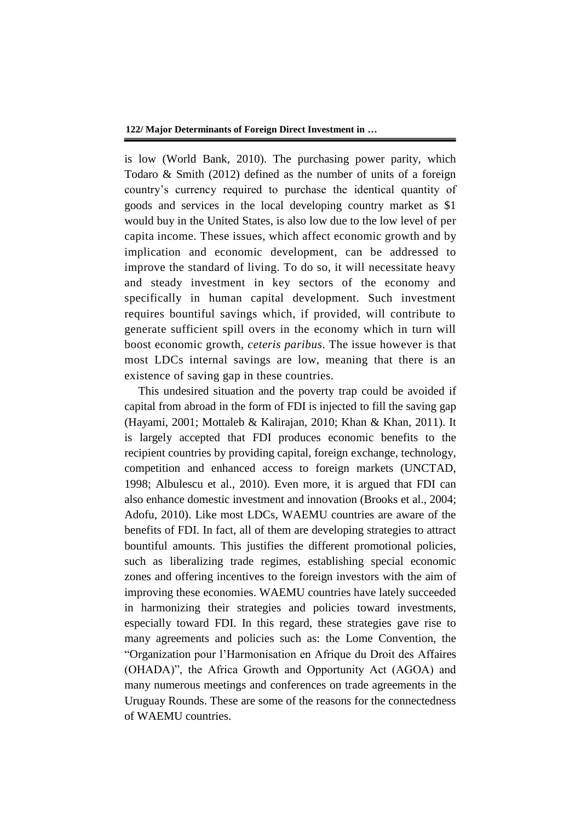is low (World Bank, 2010). The purchasing power parity, which Todaro & Smith (2012) defined as the number of units of a foreign country's currency required to purchase the identical quantity of goods and services in the local developing country market as \$1 would buy in the United States, is also low due to the low level of per capita income. These issues, which affect economic growth and by implication and economic development, can be addressed to improve the standard of living. To do so, it will necessitate heavy and steady investment in key sectors of the economy and specifically in human capital development. Such investment requires bountiful savings which, if provided, will contribute to generate sufficient spill overs in the economy which in turn will boost economic growth, *ceteris paribus*. The issue however is that most LDCs internal savings are low, meaning that there is an existence of saving gap in these countries.

This undesired situation and the poverty trap could be avoided if capital from abroad in the form of FDI is injected to fill the saving gap (Hayami, 2001; Mottaleb & Kalirajan, 2010; Khan & Khan, 2011). It is largely accepted that FDI produces economic benefits to the recipient countries by providing capital, foreign exchange, technology, competition and enhanced access to foreign markets (UNCTAD, 1998; Albulescu et al., 2010). Even more, it is argued that FDI can also enhance domestic investment and innovation (Brooks et al., 2004; Adofu, 2010). Like most LDCs, WAEMU countries are aware of the benefits of FDI. In fact, all of them are developing strategies to attract bountiful amounts. This justifies the different promotional policies, such as liberalizing trade regimes, establishing special economic zones and offering incentives to the foreign investors with the aim of improving these economies. WAEMU countries have lately succeeded in harmonizing their strategies and policies toward investments, especially toward FDI. In this regard, these strategies gave rise to many agreements and policies such as: the Lome Convention, the "Organization pour l'Harmonisation en Afrique du Droit des Affaires (OHADA)", the Africa Growth and Opportunity Act (AGOA) and many numerous meetings and conferences on trade agreements in the Uruguay Rounds. These are some of the reasons for the connectedness of WAEMU countries.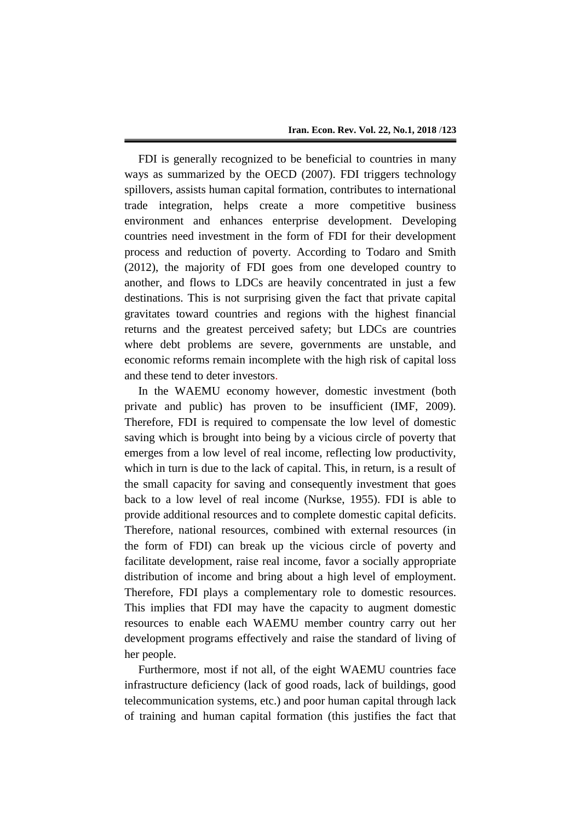FDI is generally recognized to be beneficial to countries in many ways as summarized by the OECD (2007). FDI triggers technology spillovers, assists human capital formation, contributes to international trade integration, helps create a more competitive business environment and enhances enterprise development. Developing countries need investment in the form of FDI for their development process and reduction of poverty. According to Todaro and Smith (2012), the majority of FDI goes from one developed country to another, and flows to LDCs are heavily concentrated in just a few destinations. This is not surprising given the fact that private capital gravitates toward countries and regions with the highest financial returns and the greatest perceived safety; but LDCs are countries where debt problems are severe, governments are unstable, and economic reforms remain incomplete with the high risk of capital loss and these tend to deter investors.

In the WAEMU economy however, domestic investment (both private and public) has proven to be insufficient (IMF, 2009). Therefore, FDI is required to compensate the low level of domestic saving which is brought into being by a vicious circle of poverty that emerges from a low level of real income, reflecting low productivity, which in turn is due to the lack of capital. This, in return, is a result of the small capacity for saving and consequently investment that goes back to a low level of real income (Nurkse, 1955). FDI is able to provide additional resources and to complete domestic capital deficits. Therefore, national resources, combined with external resources (in the form of FDI) can break up the vicious circle of poverty and facilitate development, raise real income, favor a socially appropriate distribution of income and bring about a high level of employment. Therefore, FDI plays a complementary role to domestic resources. This implies that FDI may have the capacity to augment domestic resources to enable each WAEMU member country carry out her development programs effectively and raise the standard of living of her people.

Furthermore, most if not all, of the eight WAEMU countries face infrastructure deficiency (lack of good roads, lack of buildings, good telecommunication systems, etc.) and poor human capital through lack of training and human capital formation (this justifies the fact that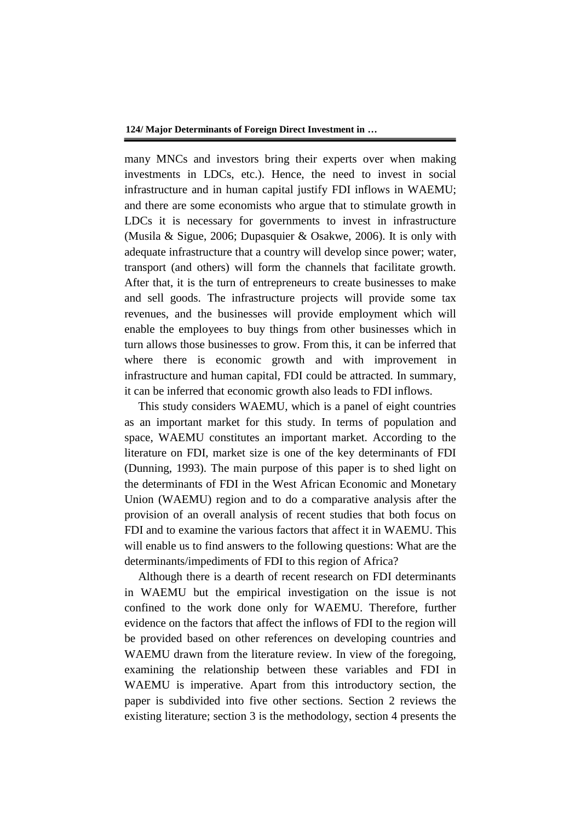many MNCs and investors bring their experts over when making investments in LDCs, etc.). Hence, the need to invest in social infrastructure and in human capital justify FDI inflows in WAEMU; and there are some economists who argue that to stimulate growth in LDCs it is necessary for governments to invest in infrastructure (Musila & Sigue, 2006; Dupasquier & Osakwe, 2006). It is only with adequate infrastructure that a country will develop since power; water, transport (and others) will form the channels that facilitate growth. After that, it is the turn of entrepreneurs to create businesses to make and sell goods. The infrastructure projects will provide some tax revenues, and the businesses will provide employment which will enable the employees to buy things from other businesses which in turn allows those businesses to grow. From this, it can be inferred that where there is economic growth and with improvement in infrastructure and human capital, FDI could be attracted. In summary, it can be inferred that economic growth also leads to FDI inflows.

This study considers WAEMU, which is a panel of eight countries as an important market for this study. In terms of population and space, WAEMU constitutes an important market. According to the literature on FDI, market size is one of the key determinants of FDI (Dunning, 1993). The main purpose of this paper is to shed light on the determinants of FDI in the West African Economic and Monetary Union (WAEMU) region and to do a comparative analysis after the provision of an overall analysis of recent studies that both focus on FDI and to examine the various factors that affect it in WAEMU. This will enable us to find answers to the following questions: What are the determinants/impediments of FDI to this region of Africa?

Although there is a dearth of recent research on FDI determinants in WAEMU but the empirical investigation on the issue is not confined to the work done only for WAEMU. Therefore, further evidence on the factors that affect the inflows of FDI to the region will be provided based on other references on developing countries and WAEMU drawn from the literature review. In view of the foregoing, examining the relationship between these variables and FDI in WAEMU is imperative. Apart from this introductory section, the paper is subdivided into five other sections. Section 2 reviews the existing literature; section 3 is the methodology, section 4 presents the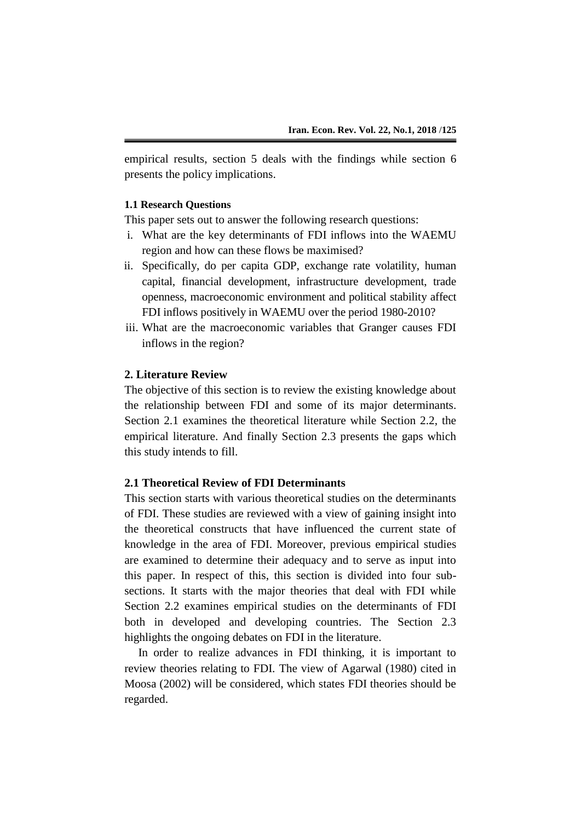empirical results, section 5 deals with the findings while section 6 presents the policy implications.

#### **1.1 Research Questions**

This paper sets out to answer the following research questions:

- i. What are the key determinants of FDI inflows into the WAEMU region and how can these flows be maximised?
- ii. Specifically, do per capita GDP, exchange rate volatility, human capital, financial development, infrastructure development, trade openness, macroeconomic environment and political stability affect FDI inflows positively in WAEMU over the period 1980-2010?
- iii. What are the macroeconomic variables that Granger causes FDI inflows in the region?

#### **2. Literature Review**

The objective of this section is to review the existing knowledge about the relationship between FDI and some of its major determinants. Section 2.1 examines the theoretical literature while Section 2.2, the empirical literature. And finally Section 2.3 presents the gaps which this study intends to fill.

#### **2.1 Theoretical Review of FDI Determinants**

This section starts with various theoretical studies on the determinants of FDI. These studies are reviewed with a view of gaining insight into the theoretical constructs that have influenced the current state of knowledge in the area of FDI. Moreover, previous empirical studies are examined to determine their adequacy and to serve as input into this paper. In respect of this, this section is divided into four subsections. It starts with the major theories that deal with FDI while Section 2.2 examines empirical studies on the determinants of FDI both in developed and developing countries. The Section 2.3 highlights the ongoing debates on FDI in the literature.

In order to realize advances in FDI thinking, it is important to review theories relating to FDI. The view of Agarwal (1980) cited in Moosa (2002) will be considered, which states FDI theories should be regarded.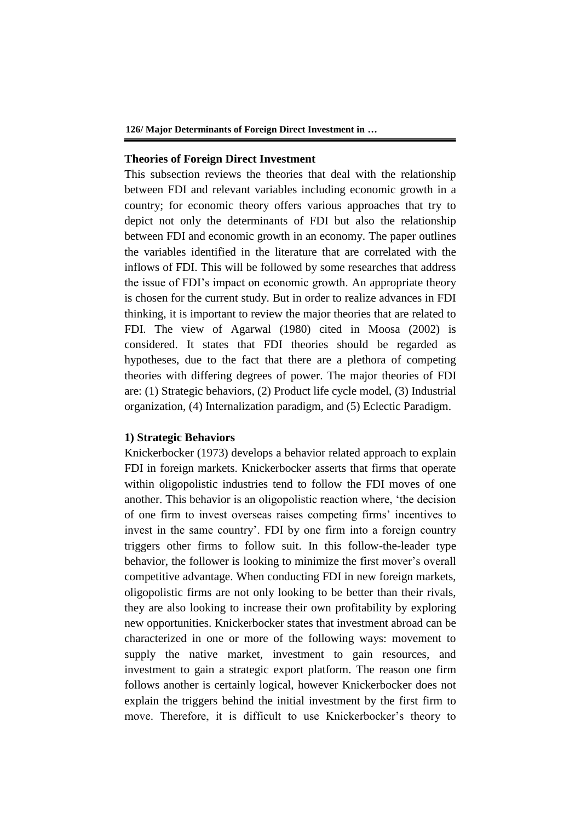#### **Theories of Foreign Direct Investment**

This subsection reviews the theories that deal with the relationship between FDI and relevant variables including economic growth in a country; for economic theory offers various approaches that try to depict not only the determinants of FDI but also the relationship between FDI and economic growth in an economy. The paper outlines the variables identified in the literature that are correlated with the inflows of FDI. This will be followed by some researches that address the issue of FDI's impact on economic growth. An appropriate theory is chosen for the current study. But in order to realize advances in FDI thinking, it is important to review the major theories that are related to FDI. The view of Agarwal (1980) cited in Moosa (2002) is considered. It states that FDI theories should be regarded as hypotheses, due to the fact that there are a plethora of competing theories with differing degrees of power. The major theories of FDI are: (1) Strategic behaviors, (2) Product life cycle model, (3) Industrial organization, (4) Internalization paradigm, and (5) Eclectic Paradigm.

#### **1) Strategic Behaviors**

Knickerbocker (1973) develops a behavior related approach to explain FDI in foreign markets. Knickerbocker asserts that firms that operate within oligopolistic industries tend to follow the FDI moves of one another. This behavior is an oligopolistic reaction where, 'the decision of one firm to invest overseas raises competing firms' incentives to invest in the same country'. FDI by one firm into a foreign country triggers other firms to follow suit. In this follow-the-leader type behavior, the follower is looking to minimize the first mover's overall competitive advantage. When conducting FDI in new foreign markets, oligopolistic firms are not only looking to be better than their rivals, they are also looking to increase their own profitability by exploring new opportunities. Knickerbocker states that investment abroad can be characterized in one or more of the following ways: movement to supply the native market, investment to gain resources, and investment to gain a strategic export platform. The reason one firm follows another is certainly logical, however Knickerbocker does not explain the triggers behind the initial investment by the first firm to move. Therefore, it is difficult to use Knickerbocker's theory to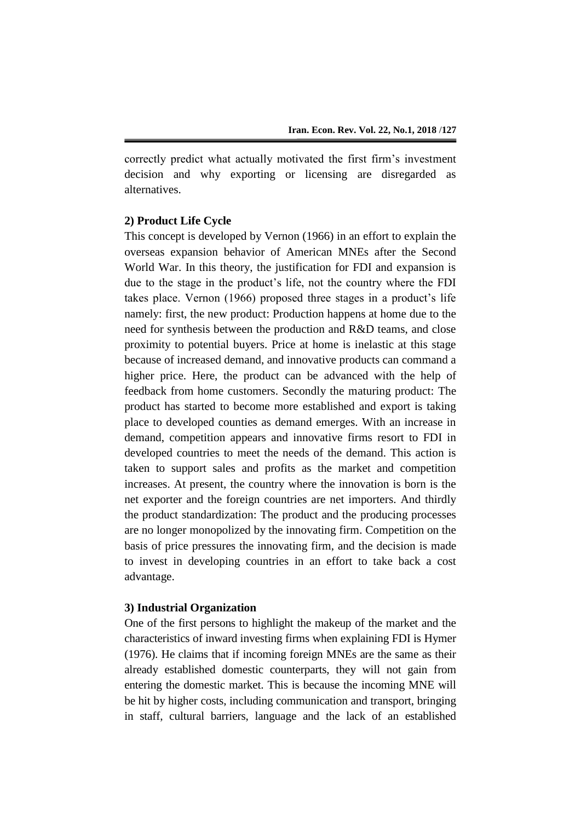correctly predict what actually motivated the first firm's investment decision and why exporting or licensing are disregarded as alternatives.

# **2) Product Life Cycle**

This concept is developed by Vernon (1966) in an effort to explain the overseas expansion behavior of American MNEs after the Second World War. In this theory, the justification for FDI and expansion is due to the stage in the product's life, not the country where the FDI takes place. Vernon (1966) proposed three stages in a product's life namely: first, the new product: Production happens at home due to the need for synthesis between the production and R&D teams, and close proximity to potential buyers. Price at home is inelastic at this stage because of increased demand, and innovative products can command a higher price. Here, the product can be advanced with the help of feedback from home customers. Secondly the maturing product: The product has started to become more established and export is taking place to developed counties as demand emerges. With an increase in demand, competition appears and innovative firms resort to FDI in developed countries to meet the needs of the demand. This action is taken to support sales and profits as the market and competition increases. At present, the country where the innovation is born is the net exporter and the foreign countries are net importers. And thirdly the product standardization: The product and the producing processes are no longer monopolized by the innovating firm. Competition on the basis of price pressures the innovating firm, and the decision is made to invest in developing countries in an effort to take back a cost advantage.

## **3) Industrial Organization**

One of the first persons to highlight the makeup of the market and the characteristics of inward investing firms when explaining FDI is Hymer (1976). He claims that if incoming foreign MNEs are the same as their already established domestic counterparts, they will not gain from entering the domestic market. This is because the incoming MNE will be hit by higher costs, including communication and transport, bringing in staff, cultural barriers, language and the lack of an established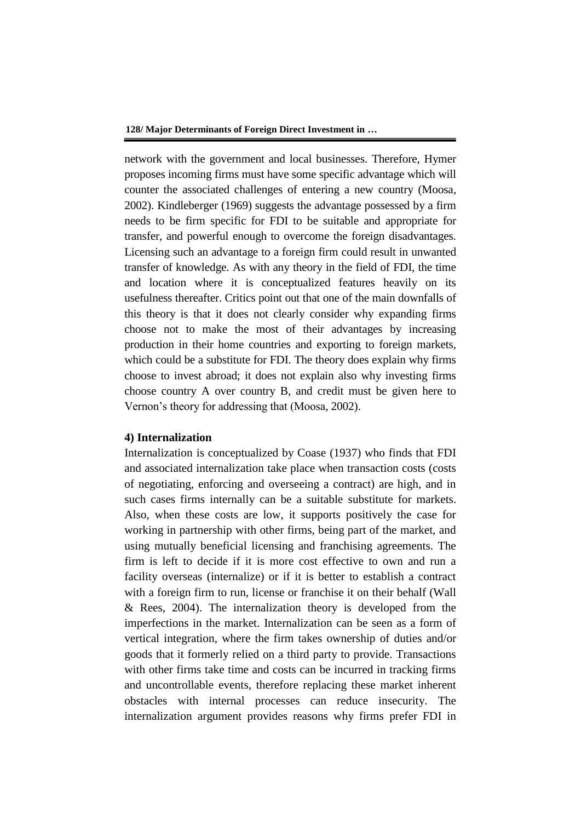network with the government and local businesses. Therefore, Hymer proposes incoming firms must have some specific advantage which will counter the associated challenges of entering a new country (Moosa, 2002). Kindleberger (1969) suggests the advantage possessed by a firm needs to be firm specific for FDI to be suitable and appropriate for transfer, and powerful enough to overcome the foreign disadvantages. Licensing such an advantage to a foreign firm could result in unwanted transfer of knowledge. As with any theory in the field of FDI, the time and location where it is conceptualized features heavily on its usefulness thereafter. Critics point out that one of the main downfalls of this theory is that it does not clearly consider why expanding firms choose not to make the most of their advantages by increasing production in their home countries and exporting to foreign markets, which could be a substitute for FDI. The theory does explain why firms choose to invest abroad; it does not explain also why investing firms choose country A over country B, and credit must be given here to Vernon's theory for addressing that (Moosa, 2002).

#### **4) Internalization**

Internalization is conceptualized by Coase (1937) who finds that FDI and associated internalization take place when transaction costs (costs of negotiating, enforcing and overseeing a contract) are high, and in such cases firms internally can be a suitable substitute for markets. Also, when these costs are low, it supports positively the case for working in partnership with other firms, being part of the market, and using mutually beneficial licensing and franchising agreements. The firm is left to decide if it is more cost effective to own and run a facility overseas (internalize) or if it is better to establish a contract with a foreign firm to run, license or franchise it on their behalf (Wall & Rees, 2004). The internalization theory is developed from the imperfections in the market. Internalization can be seen as a form of vertical integration, where the firm takes ownership of duties and/or goods that it formerly relied on a third party to provide. Transactions with other firms take time and costs can be incurred in tracking firms and uncontrollable events, therefore replacing these market inherent obstacles with internal processes can reduce insecurity. The internalization argument provides reasons why firms prefer FDI in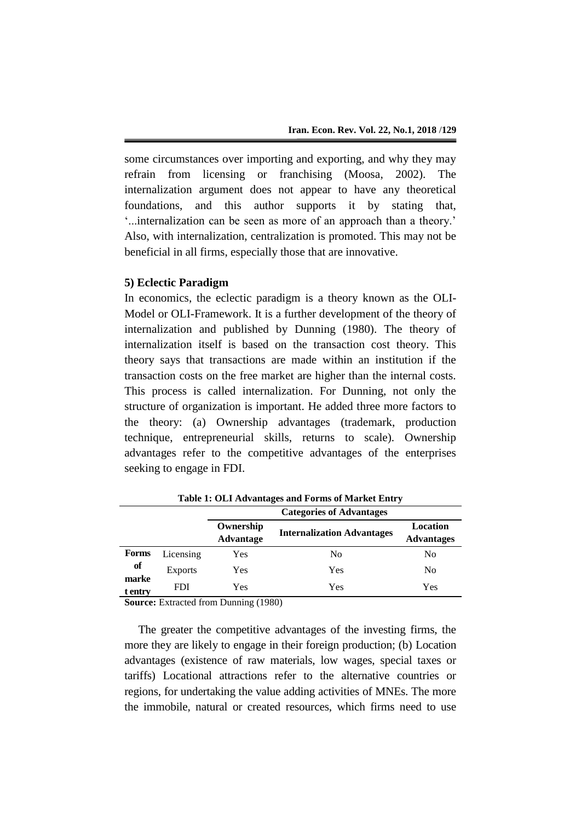some circumstances over importing and exporting, and why they may refrain from licensing or franchising (Moosa, 2002). The internalization argument does not appear to have any theoretical foundations, and this author supports it by stating that, '...internalization can be seen as more of an approach than a theory.' Also, with internalization, centralization is promoted. This may not be beneficial in all firms, especially those that are innovative.

## **5) Eclectic Paradigm**

In economics, the eclectic paradigm is a theory known as the OLI-Model or OLI-Framework. It is a further development of the theory of internalization and published by Dunning (1980). The theory of internalization itself is based on the transaction cost theory. This theory says that transactions are made within an institution if the transaction costs on the free market are higher than the internal costs. This process is called internalization. For Dunning, not only the structure of organization is important. He added three more factors to the theory: (a) Ownership advantages (trademark, production technique, entrepreneurial skills, returns to scale). Ownership advantages refer to the competitive advantages of the enterprises seeking to engage in FDI.

|                  |                | <b>Categories of Advantages</b> |                                   |                               |  |
|------------------|----------------|---------------------------------|-----------------------------------|-------------------------------|--|
|                  |                | Ownership<br>Advantage          | <b>Internalization Advantages</b> | Location<br><b>Advantages</b> |  |
| <b>Forms</b>     | Licensing      | Yes                             | No                                | No                            |  |
| of               | <b>Exports</b> | Yes                             | Yes                               | No                            |  |
| marke<br>t entrv | FDI            | Yes                             | Yes                               | Yes                           |  |

**Table 1: OLI Advantages and Forms of Market Entry**

**Source:** Extracted from Dunning (1980)

The greater the competitive advantages of the investing firms, the more they are likely to engage in their foreign production; (b) Location advantages (existence of raw materials, low wages, special taxes or tariffs) Locational attractions refer to the alternative countries or regions, for undertaking the value adding activities of MNEs. The more the immobile, natural or created resources, which firms need to use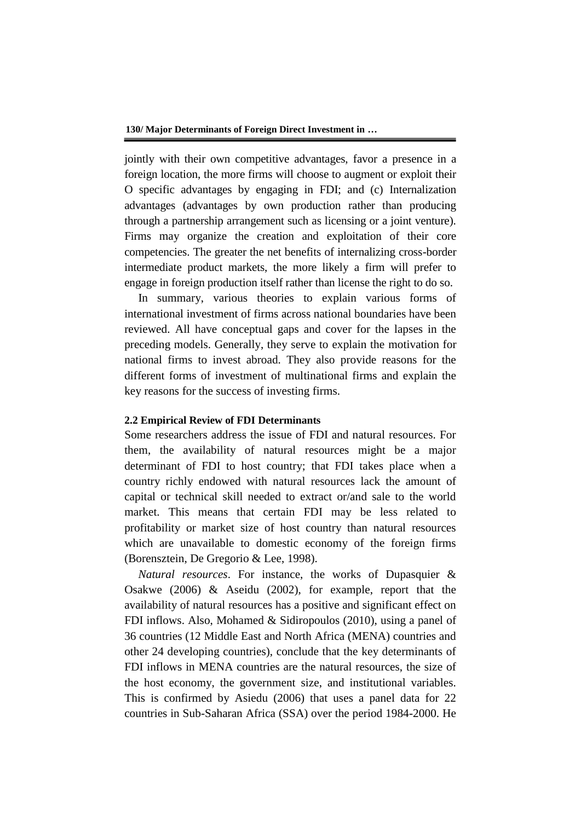jointly with their own competitive advantages, favor a presence in a foreign location, the more firms will choose to augment or exploit their O specific advantages by engaging in FDI; and (c) Internalization advantages (advantages by own production rather than producing through a partnership arrangement such as licensing or a joint venture). Firms may organize the creation and exploitation of their core competencies. The greater the net benefits of internalizing cross-border intermediate product markets, the more likely a firm will prefer to engage in foreign production itself rather than license the right to do so.

In summary, various theories to explain various forms of international investment of firms across national boundaries have been reviewed. All have conceptual gaps and cover for the lapses in the preceding models. Generally, they serve to explain the motivation for national firms to invest abroad. They also provide reasons for the different forms of investment of multinational firms and explain the key reasons for the success of investing firms.

#### **2.2 Empirical Review of FDI Determinants**

Some researchers address the issue of FDI and natural resources. For them, the availability of natural resources might be a major determinant of FDI to host country; that FDI takes place when a country richly endowed with natural resources lack the amount of capital or technical skill needed to extract or/and sale to the world market. This means that certain FDI may be less related to profitability or market size of host country than natural resources which are unavailable to domestic economy of the foreign firms (Borensztein, De Gregorio & Lee, 1998).

*Natural resources*. For instance, the works of Dupasquier & Osakwe (2006) & Aseidu (2002), for example, report that the availability of natural resources has a positive and significant effect on FDI inflows. Also, Mohamed & Sidiropoulos (2010), using a panel of 36 countries (12 Middle East and North Africa (MENA) countries and other 24 developing countries), conclude that the key determinants of FDI inflows in MENA countries are the natural resources, the size of the host economy, the government size, and institutional variables. This is confirmed by Asiedu (2006) that uses a panel data for 22 countries in Sub-Saharan Africa (SSA) over the period 1984-2000. He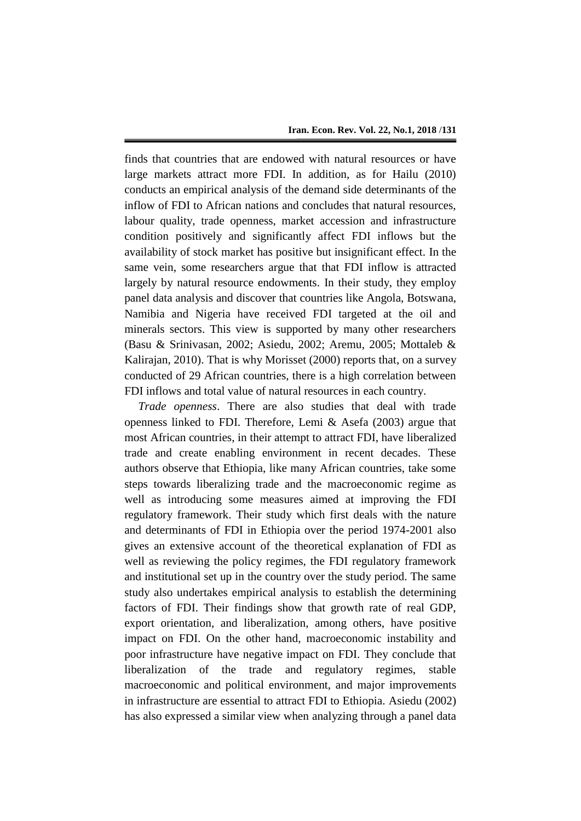finds that countries that are endowed with natural resources or have large markets attract more FDI. In addition, as for Hailu (2010) conducts an empirical analysis of the demand side determinants of the inflow of FDI to African nations and concludes that natural resources, labour quality, trade openness, market accession and infrastructure condition positively and significantly affect FDI inflows but the availability of stock market has positive but insignificant effect. In the same vein, some researchers argue that that FDI inflow is attracted largely by natural resource endowments. In their study, they employ panel data analysis and discover that countries like Angola, Botswana, Namibia and Nigeria have received FDI targeted at the oil and minerals sectors. This view is supported by many other researchers (Basu & Srinivasan, 2002; Asiedu, 2002; Aremu, 2005; Mottaleb & Kalirajan, 2010). That is why Morisset (2000) reports that, on a survey conducted of 29 African countries, there is a high correlation between FDI inflows and total value of natural resources in each country.

*Trade openness*. There are also studies that deal with trade openness linked to FDI. Therefore, Lemi & Asefa (2003) argue that most African countries, in their attempt to attract FDI, have liberalized trade and create enabling environment in recent decades. These authors observe that Ethiopia, like many African countries, take some steps towards liberalizing trade and the macroeconomic regime as well as introducing some measures aimed at improving the FDI regulatory framework. Their study which first deals with the nature and determinants of FDI in Ethiopia over the period 1974-2001 also gives an extensive account of the theoretical explanation of FDI as well as reviewing the policy regimes, the FDI regulatory framework and institutional set up in the country over the study period. The same study also undertakes empirical analysis to establish the determining factors of FDI. Their findings show that growth rate of real GDP, export orientation, and liberalization, among others, have positive impact on FDI. On the other hand, macroeconomic instability and poor infrastructure have negative impact on FDI. They conclude that liberalization of the trade and regulatory regimes, stable macroeconomic and political environment, and major improvements in infrastructure are essential to attract FDI to Ethiopia. Asiedu (2002) has also expressed a similar view when analyzing through a panel data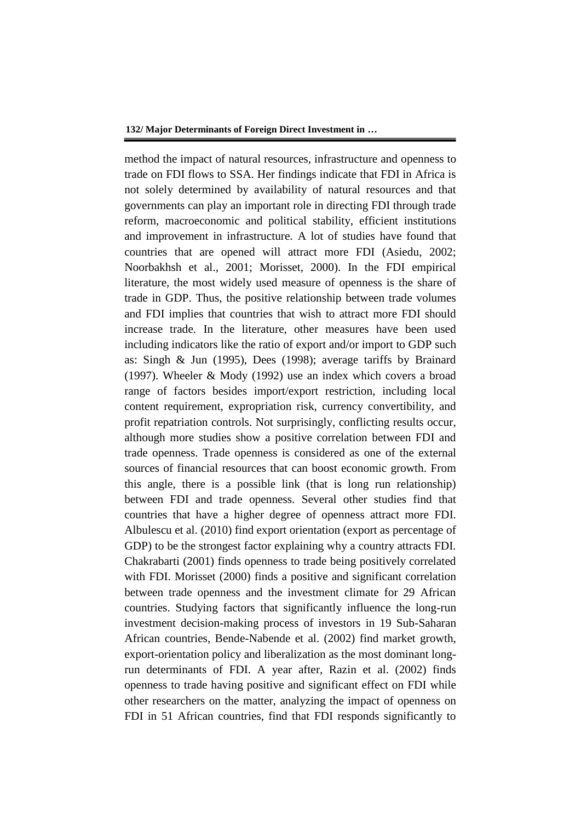method the impact of natural resources, infrastructure and openness to trade on FDI flows to SSA. Her findings indicate that FDI in Africa is not solely determined by availability of natural resources and that governments can play an important role in directing FDI through trade reform, macroeconomic and political stability, efficient institutions and improvement in infrastructure. A lot of studies have found that countries that are opened will attract more FDI (Asiedu, 2002; Noorbakhsh et al., 2001; Morisset, 2000). In the FDI empirical literature, the most widely used measure of openness is the share of trade in GDP. Thus, the positive relationship between trade volumes and FDI implies that countries that wish to attract more FDI should increase trade. In the literature, other measures have been used including indicators like the ratio of export and/or import to GDP such as: Singh & Jun (1995), Dees (1998); average tariffs by Brainard (1997). Wheeler & Mody (1992) use an index which covers a broad range of factors besides import/export restriction, including local content requirement, expropriation risk, currency convertibility, and profit repatriation controls. Not surprisingly, conflicting results occur, although more studies show a positive correlation between FDI and trade openness. Trade openness is considered as one of the external sources of financial resources that can boost economic growth. From this angle, there is a possible link (that is long run relationship) between FDI and trade openness. Several other studies find that countries that have a higher degree of openness attract more FDI. Albulescu et al. (2010) find export orientation (export as percentage of GDP) to be the strongest factor explaining why a country attracts FDI. Chakrabarti (2001) finds openness to trade being positively correlated with FDI. Morisset (2000) finds a positive and significant correlation between trade openness and the investment climate for 29 African countries. Studying factors that significantly influence the long-run investment decision-making process of investors in 19 Sub-Saharan African countries, Bende-Nabende et al. (2002) find market growth, export-orientation policy and liberalization as the most dominant longrun determinants of FDI. A year after, Razin et al. (2002) finds openness to trade having positive and significant effect on FDI while other researchers on the matter, analyzing the impact of openness on FDI in 51 African countries, find that FDI responds significantly to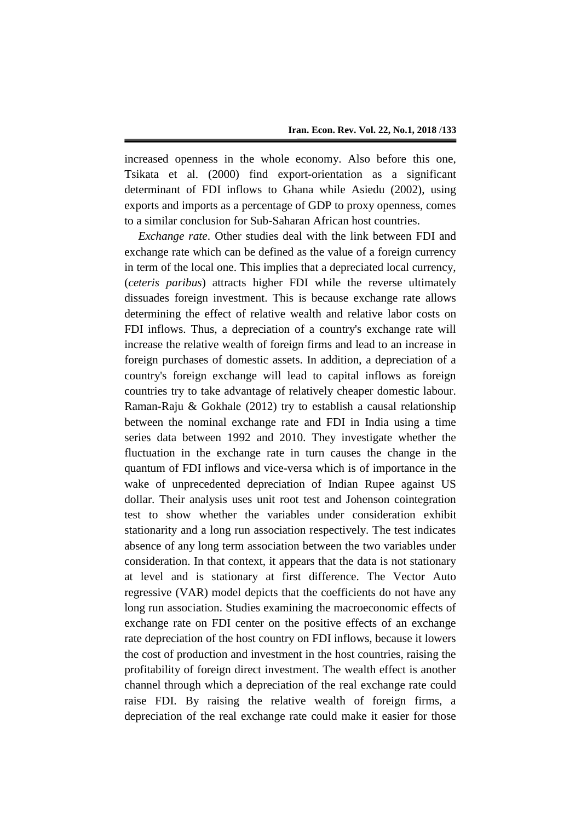increased openness in the whole economy. Also before this one, Tsikata et al. (2000) find export-orientation as a significant determinant of FDI inflows to Ghana while Asiedu (2002), using exports and imports as a percentage of GDP to proxy openness, comes to a similar conclusion for Sub-Saharan African host countries.

*Exchange rate*. Other studies deal with the link between FDI and exchange rate which can be defined as the value of a foreign currency in term of the local one. This implies that a depreciated local currency, (*ceteris paribus*) attracts higher FDI while the reverse ultimately dissuades foreign investment. This is because exchange rate allows determining the effect of relative wealth and relative labor costs on FDI inflows. Thus, a depreciation of a country's exchange rate will increase the relative wealth of foreign firms and lead to an increase in foreign purchases of domestic assets. In addition, a depreciation of a country's foreign exchange will lead to capital inflows as foreign countries try to take advantage of relatively cheaper domestic labour. Raman-Raju & Gokhale (2012) try to establish a causal relationship between the nominal exchange rate and FDI in India using a time series data between 1992 and 2010. They investigate whether the fluctuation in the exchange rate in turn causes the change in the quantum of FDI inflows and vice-versa which is of importance in the wake of unprecedented depreciation of Indian Rupee against US dollar. Their analysis uses unit root test and Johenson cointegration test to show whether the variables under consideration exhibit stationarity and a long run association respectively. The test indicates absence of any long term association between the two variables under consideration. In that context, it appears that the data is not stationary at level and is stationary at first difference. The Vector Auto regressive (VAR) model depicts that the coefficients do not have any long run association. Studies examining the macroeconomic effects of exchange rate on FDI center on the positive effects of an exchange rate depreciation of the host country on FDI inflows, because it lowers the cost of production and investment in the host countries, raising the profitability of foreign direct investment. The wealth effect is another channel through which a depreciation of the real exchange rate could raise FDI. By raising the relative wealth of foreign firms, a depreciation of the real exchange rate could make it easier for those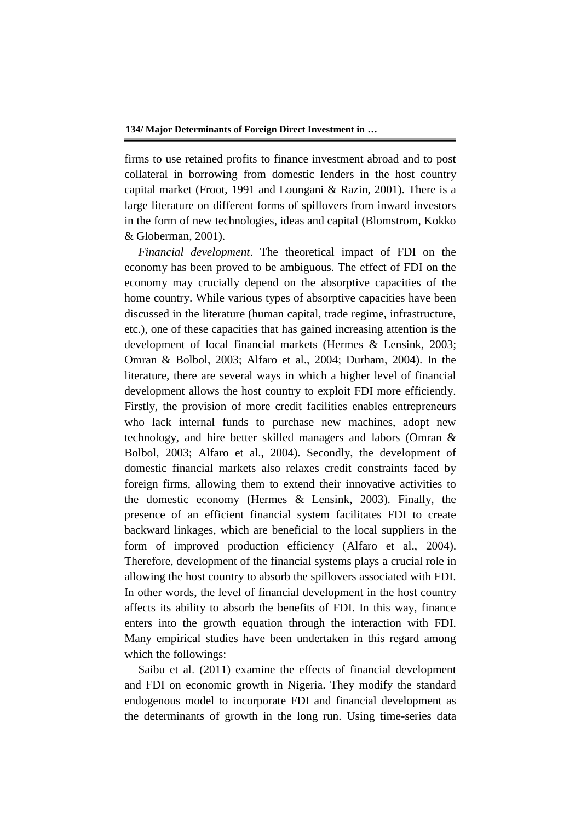firms to use retained profits to finance investment abroad and to post collateral in borrowing from domestic lenders in the host country capital market (Froot, 1991 and Loungani & Razin, 2001). There is a large literature on different forms of spillovers from inward investors in the form of new technologies, ideas and capital (Blomstrom, Kokko & Globerman, 2001).

*Financial development*. The theoretical impact of FDI on the economy has been proved to be ambiguous. The effect of FDI on the economy may crucially depend on the absorptive capacities of the home country. While various types of absorptive capacities have been discussed in the literature (human capital, trade regime, infrastructure, etc.), one of these capacities that has gained increasing attention is the development of local financial markets (Hermes & Lensink, 2003; Omran & Bolbol, 2003; Alfaro et al., 2004; Durham, 2004). In the literature, there are several ways in which a higher level of financial development allows the host country to exploit FDI more efficiently. Firstly, the provision of more credit facilities enables entrepreneurs who lack internal funds to purchase new machines, adopt new technology, and hire better skilled managers and labors (Omran & Bolbol, 2003; Alfaro et al., 2004). Secondly, the development of domestic financial markets also relaxes credit constraints faced by foreign firms, allowing them to extend their innovative activities to the domestic economy (Hermes & Lensink, 2003). Finally, the presence of an efficient financial system facilitates FDI to create backward linkages, which are beneficial to the local suppliers in the form of improved production efficiency (Alfaro et al., 2004). Therefore, development of the financial systems plays a crucial role in allowing the host country to absorb the spillovers associated with FDI. In other words, the level of financial development in the host country affects its ability to absorb the benefits of FDI. In this way, finance enters into the growth equation through the interaction with FDI. Many empirical studies have been undertaken in this regard among which the followings:

Saibu et al. (2011) examine the effects of financial development and FDI on economic growth in Nigeria. They modify the standard endogenous model to incorporate FDI and financial development as the determinants of growth in the long run. Using time-series data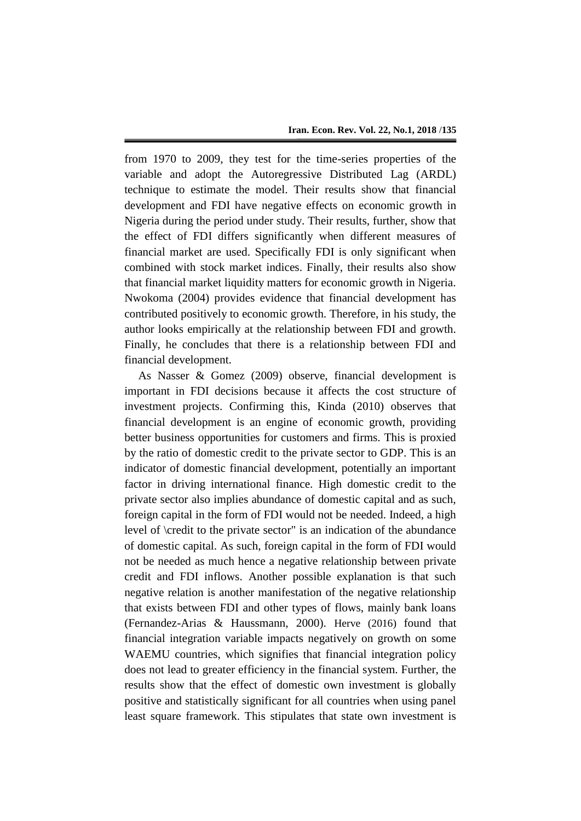from 1970 to 2009, they test for the time-series properties of the variable and adopt the Autoregressive Distributed Lag (ARDL) technique to estimate the model. Their results show that financial development and FDI have negative effects on economic growth in Nigeria during the period under study. Their results, further, show that the effect of FDI differs significantly when different measures of financial market are used. Specifically FDI is only significant when combined with stock market indices. Finally, their results also show that financial market liquidity matters for economic growth in Nigeria. Nwokoma (2004) provides evidence that financial development has contributed positively to economic growth. Therefore, in his study, the author looks empirically at the relationship between FDI and growth. Finally, he concludes that there is a relationship between FDI and financial development.

As Nasser & Gomez (2009) observe, financial development is important in FDI decisions because it affects the cost structure of investment projects. Confirming this, Kinda (2010) observes that financial development is an engine of economic growth, providing better business opportunities for customers and firms. This is proxied by the ratio of domestic credit to the private sector to GDP. This is an indicator of domestic financial development, potentially an important factor in driving international finance. High domestic credit to the private sector also implies abundance of domestic capital and as such, foreign capital in the form of FDI would not be needed. Indeed, a high level of \credit to the private sector" is an indication of the abundance of domestic capital. As such, foreign capital in the form of FDI would not be needed as much hence a negative relationship between private credit and FDI inflows. Another possible explanation is that such negative relation is another manifestation of the negative relationship that exists between FDI and other types of flows, mainly bank loans (Fernandez-Arias & Haussmann, 2000). Herve (2016) found that financial integration variable impacts negatively on growth on some WAEMU countries, which signifies that financial integration policy does not lead to greater efficiency in the financial system. Further, the results show that the effect of domestic own investment is globally positive and statistically significant for all countries when using panel least square framework. This stipulates that state own investment is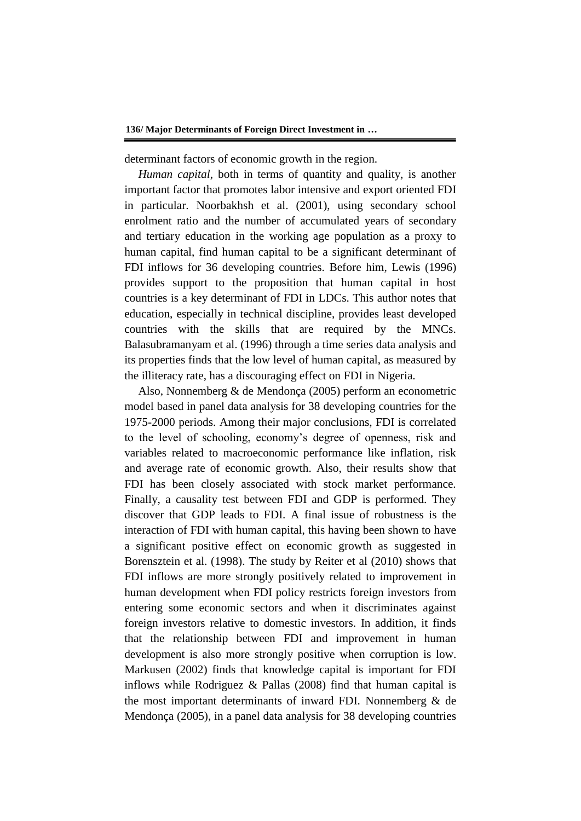determinant factors of economic growth in the region.

*Human capital*, both in terms of quantity and quality, is another important factor that promotes labor intensive and export oriented FDI in particular. Noorbakhsh et al. (2001), using secondary school enrolment ratio and the number of accumulated years of secondary and tertiary education in the working age population as a proxy to human capital, find human capital to be a significant determinant of FDI inflows for 36 developing countries. Before him, Lewis (1996) provides support to the proposition that human capital in host countries is a key determinant of FDI in LDCs. This author notes that education, especially in technical discipline, provides least developed countries with the skills that are required by the MNCs. Balasubramanyam et al. (1996) through a time series data analysis and its properties finds that the low level of human capital, as measured by the illiteracy rate, has a discouraging effect on FDI in Nigeria.

Also, Nonnemberg & de Mendonça (2005) perform an econometric model based in panel data analysis for 38 developing countries for the 1975-2000 periods. Among their major conclusions, FDI is correlated to the level of schooling, economy's degree of openness, risk and variables related to macroeconomic performance like inflation, risk and average rate of economic growth. Also, their results show that FDI has been closely associated with stock market performance. Finally, a causality test between FDI and GDP is performed. They discover that GDP leads to FDI. A final issue of robustness is the interaction of FDI with human capital, this having been shown to have a significant positive effect on economic growth as suggested in Borensztein et al. (1998). The study by Reiter et al (2010) shows that FDI inflows are more strongly positively related to improvement in human development when FDI policy restricts foreign investors from entering some economic sectors and when it discriminates against foreign investors relative to domestic investors. In addition, it finds that the relationship between FDI and improvement in human development is also more strongly positive when corruption is low. Markusen (2002) finds that knowledge capital is important for FDI inflows while Rodriguez & Pallas (2008) find that human capital is the most important determinants of inward FDI. Nonnemberg & de Mendonça (2005), in a panel data analysis for 38 developing countries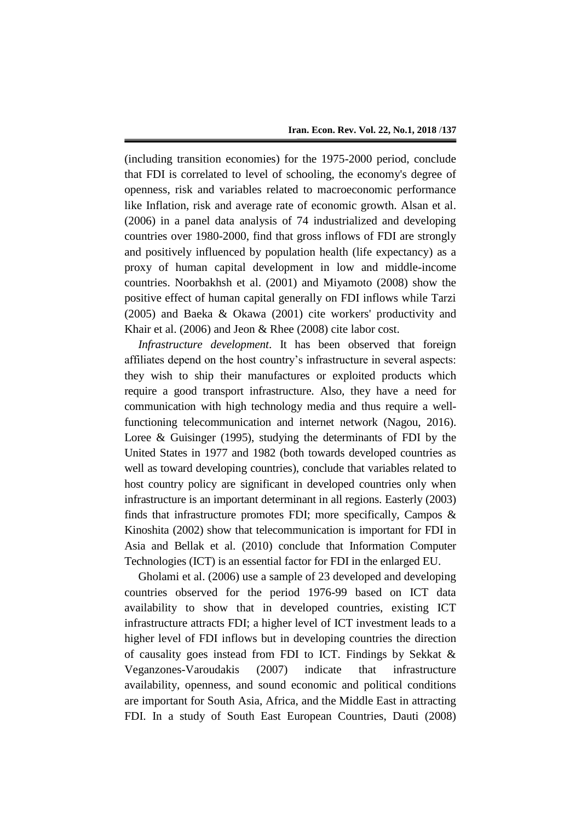(including transition economies) for the 1975-2000 period, conclude that FDI is correlated to level of schooling, the economy's degree of openness, risk and variables related to macroeconomic performance like Inflation, risk and average rate of economic growth. Alsan et al. (2006) in a panel data analysis of 74 industrialized and developing countries over 1980-2000, find that gross inflows of FDI are strongly and positively influenced by population health (life expectancy) as a proxy of human capital development in low and middle-income countries. Noorbakhsh et al. (2001) and Miyamoto (2008) show the positive effect of human capital generally on FDI inflows while Tarzi (2005) and Baeka & Okawa (2001) cite workers' productivity and Khair et al. (2006) and Jeon & Rhee (2008) cite labor cost.

*Infrastructure development*. It has been observed that foreign affiliates depend on the host country's infrastructure in several aspects: they wish to ship their manufactures or exploited products which require a good transport infrastructure. Also, they have a need for communication with high technology media and thus require a wellfunctioning telecommunication and internet network (Nagou, 2016). Loree & Guisinger (1995), studying the determinants of FDI by the United States in 1977 and 1982 (both towards developed countries as well as toward developing countries), conclude that variables related to host country policy are significant in developed countries only when infrastructure is an important determinant in all regions. Easterly (2003) finds that infrastructure promotes FDI; more specifically, Campos & Kinoshita (2002) show that telecommunication is important for FDI in Asia and Bellak et al. (2010) conclude that Information Computer Technologies (ICT) is an essential factor for FDI in the enlarged EU.

Gholami et al. (2006) use a sample of 23 developed and developing countries observed for the period 1976-99 based on ICT data availability to show that in developed countries, existing ICT infrastructure attracts FDI; a higher level of ICT investment leads to a higher level of FDI inflows but in developing countries the direction of causality goes instead from FDI to ICT. Findings by Sekkat & Veganzones-Varoudakis (2007) indicate that infrastructure availability, openness, and sound economic and political conditions are important for South Asia, Africa, and the Middle East in attracting FDI. In a study of South East European Countries, Dauti (2008)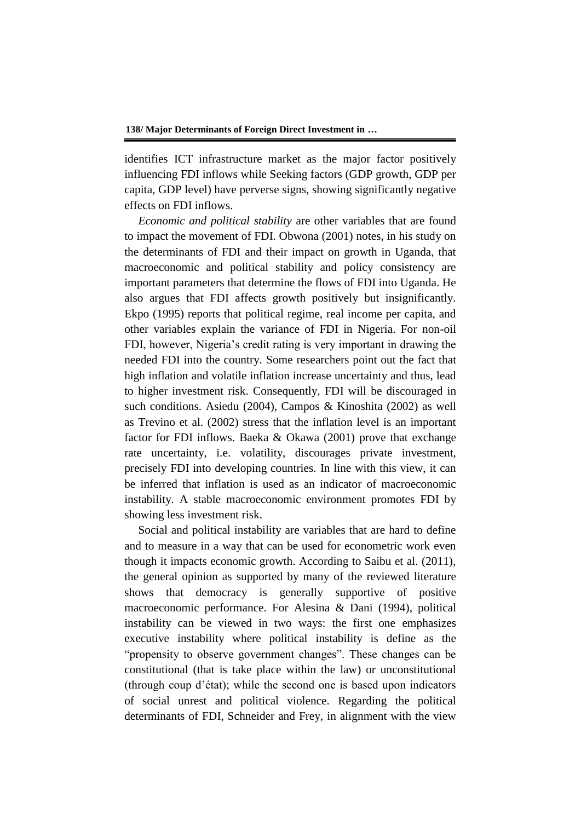identifies ICT infrastructure market as the major factor positively influencing FDI inflows while Seeking factors (GDP growth, GDP per capita, GDP level) have perverse signs, showing significantly negative effects on FDI inflows.

*Economic and political stability* are other variables that are found to impact the movement of FDI. Obwona (2001) notes, in his study on the determinants of FDI and their impact on growth in Uganda, that macroeconomic and political stability and policy consistency are important parameters that determine the flows of FDI into Uganda. He also argues that FDI affects growth positively but insignificantly. Ekpo (1995) reports that political regime, real income per capita, and other variables explain the variance of FDI in Nigeria. For non-oil FDI, however, Nigeria's credit rating is very important in drawing the needed FDI into the country. Some researchers point out the fact that high inflation and volatile inflation increase uncertainty and thus, lead to higher investment risk. Consequently, FDI will be discouraged in such conditions. Asiedu (2004), Campos & Kinoshita (2002) as well as Trevino et al. (2002) stress that the inflation level is an important factor for FDI inflows. Baeka & Okawa (2001) prove that exchange rate uncertainty, i.e. volatility, discourages private investment, precisely FDI into developing countries. In line with this view, it can be inferred that inflation is used as an indicator of macroeconomic instability. A stable macroeconomic environment promotes FDI by showing less investment risk.

Social and political instability are variables that are hard to define and to measure in a way that can be used for econometric work even though it impacts economic growth. According to Saibu et al. (2011), the general opinion as supported by many of the reviewed literature shows that democracy is generally supportive of positive macroeconomic performance. For Alesina & Dani (1994), political instability can be viewed in two ways: the first one emphasizes executive instability where political instability is define as the "propensity to observe government changes". These changes can be constitutional (that is take place within the law) or unconstitutional (through coup d'état); while the second one is based upon indicators of social unrest and political violence. Regarding the political determinants of FDI, Schneider and Frey, in alignment with the view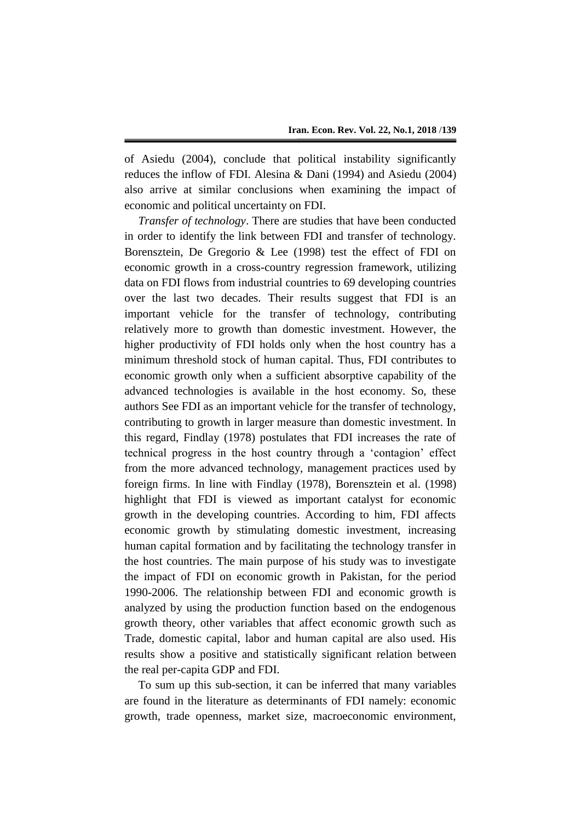of Asiedu (2004), conclude that political instability significantly reduces the inflow of FDI. Alesina & Dani (1994) and Asiedu (2004) also arrive at similar conclusions when examining the impact of economic and political uncertainty on FDI.

*Transfer of technology*. There are studies that have been conducted in order to identify the link between FDI and transfer of technology. Borensztein, De Gregorio & Lee (1998) test the effect of FDI on economic growth in a cross-country regression framework, utilizing data on FDI flows from industrial countries to 69 developing countries over the last two decades. Their results suggest that FDI is an important vehicle for the transfer of technology, contributing relatively more to growth than domestic investment. However, the higher productivity of FDI holds only when the host country has a minimum threshold stock of human capital. Thus, FDI contributes to economic growth only when a sufficient absorptive capability of the advanced technologies is available in the host economy. So, these authors See FDI as an important vehicle for the transfer of technology, contributing to growth in larger measure than domestic investment. In this regard, Findlay (1978) postulates that FDI increases the rate of technical progress in the host country through a 'contagion' effect from the more advanced technology, management practices used by foreign firms. In line with Findlay (1978), Borensztein et al. (1998) highlight that FDI is viewed as important catalyst for economic growth in the developing countries. According to him, FDI affects economic growth by stimulating domestic investment, increasing human capital formation and by facilitating the technology transfer in the host countries. The main purpose of his study was to investigate the impact of FDI on economic growth in Pakistan, for the period 1990-2006. The relationship between FDI and economic growth is analyzed by using the production function based on the endogenous growth theory, other variables that affect economic growth such as Trade, domestic capital, labor and human capital are also used. His results show a positive and statistically significant relation between the real per-capita GDP and FDI.

To sum up this sub-section, it can be inferred that many variables are found in the literature as determinants of FDI namely: economic growth, trade openness, market size, macroeconomic environment,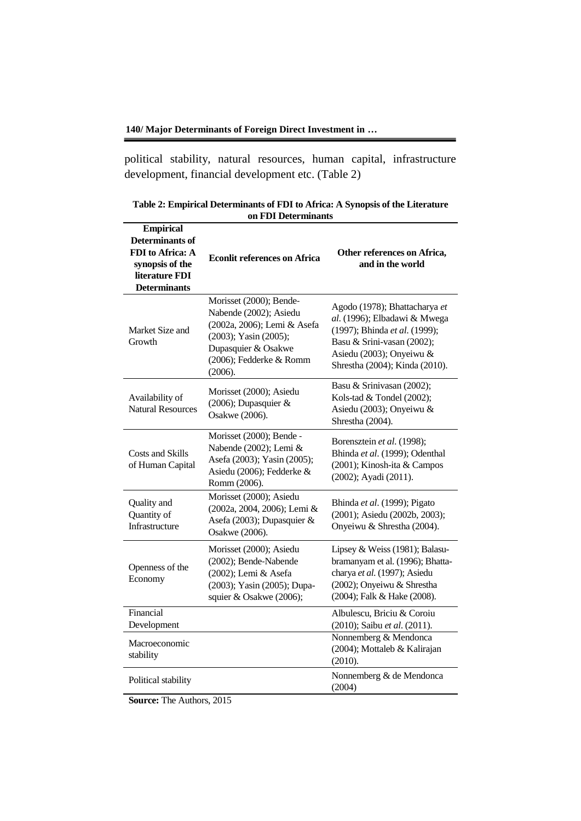political stability, natural resources, human capital, infrastructure development, financial development etc. (Table 2)

| <b>Empirical</b><br><b>Determinants of</b><br>FDI to Africa: A<br>synopsis of the<br>literature FDI<br><b>Determinants</b> | <b>Econlit references on Africa</b>                                                                                                                                    | Other references on Africa,<br>and in the world                                                                                                                                            |
|----------------------------------------------------------------------------------------------------------------------------|------------------------------------------------------------------------------------------------------------------------------------------------------------------------|--------------------------------------------------------------------------------------------------------------------------------------------------------------------------------------------|
| Market Size and<br>Growth                                                                                                  | Morisset (2000); Bende-<br>Nabende (2002); Asiedu<br>(2002a, 2006); Lemi & Asefa<br>(2003); Yasin (2005);<br>Dupasquier & Osakwe<br>(2006); Fedderke & Romm<br>(2006). | Agodo (1978); Bhattacharya et<br>al. (1996); Elbadawi & Mwega<br>(1997); Bhinda et al. (1999);<br>Basu & Srini-vasan (2002);<br>Asiedu (2003); Onyeiwu &<br>Shrestha (2004); Kinda (2010). |
| Availability of<br><b>Natural Resources</b>                                                                                | Morisset (2000); Asiedu<br>(2006); Dupasquier &<br>Osakwe (2006).                                                                                                      | Basu & Srinivasan (2002);<br>Kols-tad & Tondel (2002);<br>Asiedu (2003); Onyeiwu &<br>Shrestha (2004).                                                                                     |
| Costs and Skills<br>of Human Capital                                                                                       | Morisset (2000); Bende -<br>Nabende (2002); Lemi &<br>Asefa (2003); Yasin (2005);<br>Asiedu (2006); Fedderke &<br>Romm (2006).                                         | Borensztein et al. (1998);<br>Bhinda et al. (1999); Odenthal<br>(2001); Kinosh-ita & Campos<br>(2002); Ayadi (2011).                                                                       |
| Quality and<br>Quantity of<br>Infrastructure                                                                               | Morisset (2000); Asiedu<br>(2002a, 2004, 2006); Lemi &<br>Asefa (2003); Dupasquier &<br>Osakwe (2006).                                                                 | Bhinda et al. (1999); Pigato<br>(2001); Asiedu (2002b, 2003);<br>Onyeiwu & Shrestha (2004).                                                                                                |
| Openness of the<br>Economy                                                                                                 | Morisset (2000); Asiedu<br>(2002); Bende-Nabende<br>(2002); Lemi & Asefa<br>(2003); Yasin (2005); Dupa-<br>squier & Osakwe (2006);                                     | Lipsey & Weiss (1981); Balasu-<br>bramanyam et al. (1996); Bhatta-<br>charya et al. (1997); Asiedu<br>(2002); Onyeiwu & Shrestha<br>(2004); Falk & Hake (2008).                            |
| Financial<br>Development                                                                                                   |                                                                                                                                                                        | Albulescu, Briciu & Coroiu<br>(2010); Saibu et al. (2011).                                                                                                                                 |
| Macroeconomic<br>stability                                                                                                 |                                                                                                                                                                        | Nonnemberg & Mendonca<br>(2004); Mottaleb & Kalirajan<br>(2010).                                                                                                                           |
| Political stability                                                                                                        |                                                                                                                                                                        | Nonnemberg & de Mendonca<br>(2004)                                                                                                                                                         |

**Table 2: Empirical Determinants of FDI to Africa: A Synopsis of the Literature on FDI Determinants**

**Source:** The Authors, 2015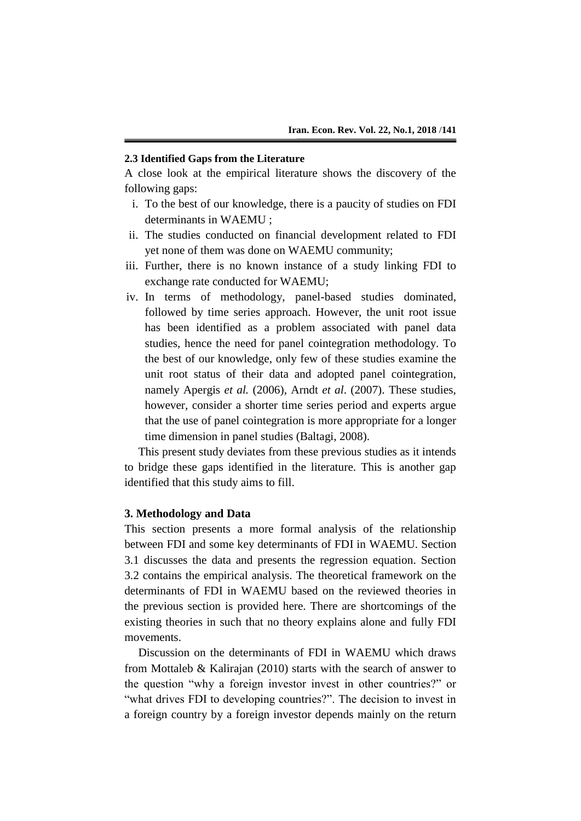#### **2.3 Identified Gaps from the Literature**

A close look at the empirical literature shows the discovery of the following gaps:

- i. To the best of our knowledge, there is a paucity of studies on FDI determinants in WAEMU ;
- ii. The studies conducted on financial development related to FDI yet none of them was done on WAEMU community;
- iii. Further, there is no known instance of a study linking FDI to exchange rate conducted for WAEMU;
- iv. In terms of methodology, panel-based studies dominated, followed by time series approach. However, the unit root issue has been identified as a problem associated with panel data studies, hence the need for panel cointegration methodology. To the best of our knowledge, only few of these studies examine the unit root status of their data and adopted panel cointegration, namely Apergis *et al.* (2006), Arndt *et al*. (2007). These studies, however, consider a shorter time series period and experts argue that the use of panel cointegration is more appropriate for a longer time dimension in panel studies (Baltagi, 2008).

This present study deviates from these previous studies as it intends to bridge these gaps identified in the literature. This is another gap identified that this study aims to fill.

#### **3. Methodology and Data**

This section presents a more formal analysis of the relationship between FDI and some key determinants of FDI in WAEMU. Section 3.1 discusses the data and presents the regression equation. Section 3.2 contains the empirical analysis. The theoretical framework on the determinants of FDI in WAEMU based on the reviewed theories in the previous section is provided here. There are shortcomings of the existing theories in such that no theory explains alone and fully FDI movements.

Discussion on the determinants of FDI in WAEMU which draws from Mottaleb & Kalirajan (2010) starts with the search of answer to the question "why a foreign investor invest in other countries?" or "what drives FDI to developing countries?". The decision to invest in a foreign country by a foreign investor depends mainly on the return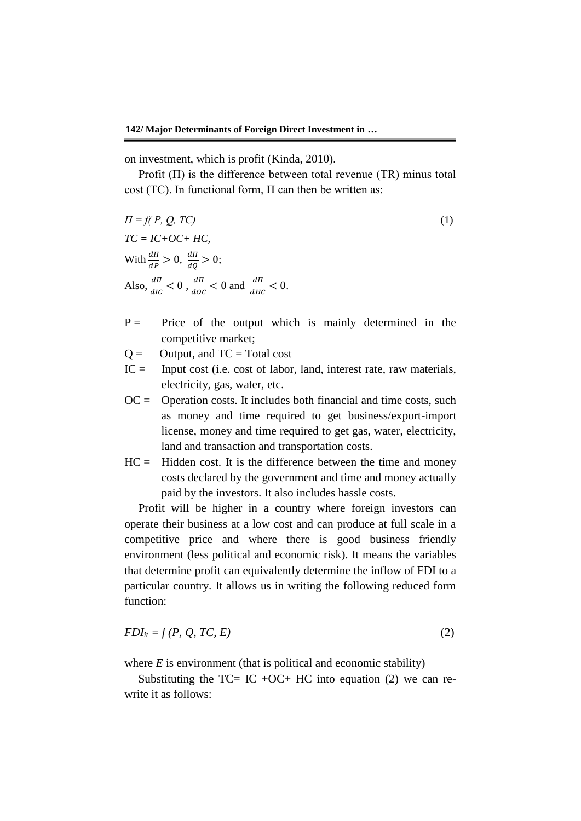on investment, which is profit (Kinda, 2010).

Profit  $(II)$  is the difference between total revenue  $(TR)$  minus total cost (TC). In functional form, Π can then be written as:

$$
\Pi = f(P, Q, TC)
$$
  
TC = IC+OC + HC,  
With  $\frac{dH}{dP} > 0$ ,  $\frac{dH}{dQ} > 0$ ;  
Also,  $\frac{dH}{dIC} < 0$ ,  $\frac{dH}{dOC} < 0$  and  $\frac{dH}{dHC} < 0$ .

- $P =$  Price of the output which is mainly determined in the competitive market;
- $Q =$  Output, and  $TC = Total cost$
- $IC =$  Input cost (i.e. cost of labor, land, interest rate, raw materials, electricity, gas, water, etc.
- $OC =$  Operation costs. It includes both financial and time costs, such as money and time required to get business/export-import license, money and time required to get gas, water, electricity, land and transaction and transportation costs.
- $HC =$  Hidden cost. It is the difference between the time and money costs declared by the government and time and money actually paid by the investors. It also includes hassle costs.

Profit will be higher in a country where foreign investors can operate their business at a low cost and can produce at full scale in a competitive price and where there is good business friendly environment (less political and economic risk). It means the variables that determine profit can equivalently determine the inflow of FDI to a particular country. It allows us in writing the following reduced form function:

$$
FDI_{it} = f(P, Q, TC, E) \tag{2}
$$

where  $E$  is environment (that is political and economic stability)

Substituting the TC= IC +OC+ HC into equation (2) we can rewrite it as follows: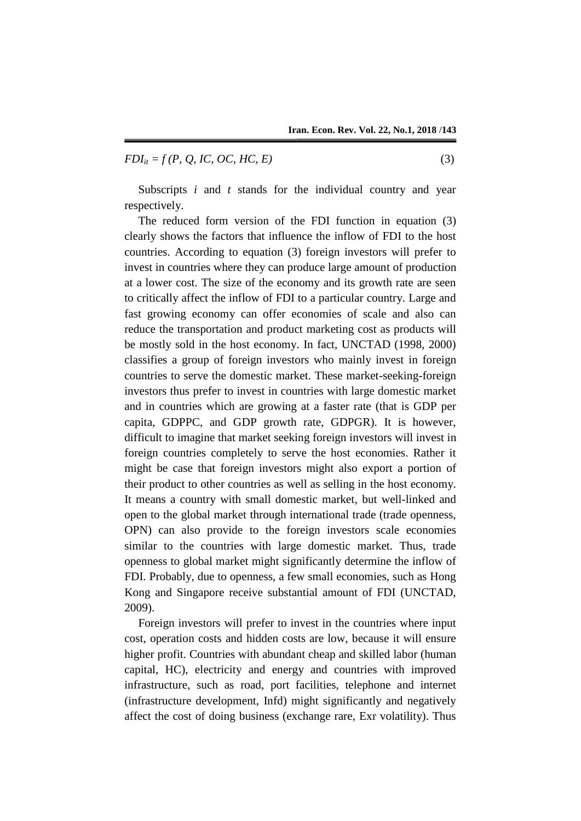$$
FDI_{it} = f(P, Q, IC, OC, HC, E)
$$
\n
$$
(3)
$$

Subscripts *i* and *t* stands for the individual country and year respectively.

The reduced form version of the FDI function in equation (3) clearly shows the factors that influence the inflow of FDI to the host countries. According to equation (3) foreign investors will prefer to invest in countries where they can produce large amount of production at a lower cost. The size of the economy and its growth rate are seen to critically affect the inflow of FDI to a particular country. Large and fast growing economy can offer economies of scale and also can reduce the transportation and product marketing cost as products will be mostly sold in the host economy. In fact, UNCTAD (1998, 2000) classifies a group of foreign investors who mainly invest in foreign countries to serve the domestic market. These market-seeking-foreign investors thus prefer to invest in countries with large domestic market and in countries which are growing at a faster rate (that is GDP per capita, GDPPC, and GDP growth rate, GDPGR). It is however, difficult to imagine that market seeking foreign investors will invest in foreign countries completely to serve the host economies. Rather it might be case that foreign investors might also export a portion of their product to other countries as well as selling in the host economy. It means a country with small domestic market, but well-linked and open to the global market through international trade (trade openness, OPN) can also provide to the foreign investors scale economies similar to the countries with large domestic market. Thus, trade openness to global market might significantly determine the inflow of FDI. Probably, due to openness, a few small economies, such as Hong Kong and Singapore receive substantial amount of FDI (UNCTAD, 2009).

Foreign investors will prefer to invest in the countries where input cost, operation costs and hidden costs are low, because it will ensure higher profit. Countries with abundant cheap and skilled labor (human capital, HC), electricity and energy and countries with improved infrastructure, such as road, port facilities, telephone and internet (infrastructure development, Infd) might significantly and negatively affect the cost of doing business (exchange rare, Exr volatility). Thus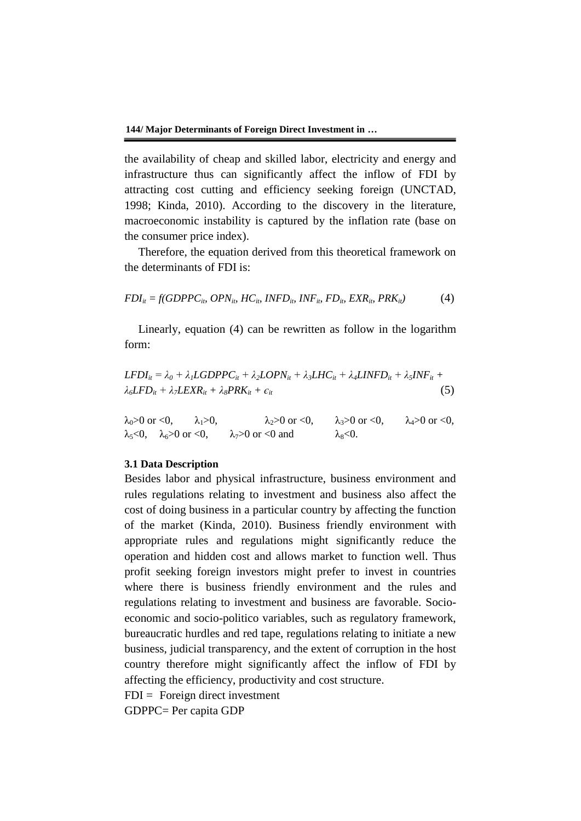the availability of cheap and skilled labor, electricity and energy and infrastructure thus can significantly affect the inflow of FDI by attracting cost cutting and efficiency seeking foreign (UNCTAD, 1998; Kinda, 2010). According to the discovery in the literature, macroeconomic instability is captured by the inflation rate (base on the consumer price index).

Therefore, the equation derived from this theoretical framework on the determinants of FDI is:

$$
FDI_{it} = f(GDPPC_{iv} \ OPN_{iv} \ HC_{iv} \ INFO_{iv} \ INFO_{iv} \Gamma FD_{iv} \ EXR_{iv} \ PRK_{it})
$$
 (4)

Linearly, equation (4) can be rewritten as follow in the logarithm form:

$$
LEDI_{it} = \lambda_0 + \lambda_1 LGDPPC_{it} + \lambda_2 LOPN_{it} + \lambda_3 LHC_{it} + \lambda_4 LINFD_{it} + \lambda_5 INF_{it} + \lambda_6 LFD_{it} + \lambda_7 LEXR_{it} + \lambda_8 PRK_{it} + \epsilon_{it}
$$
\n(5)

 $\lambda_0>0$  or <0,  $\lambda_1>0$ ,  $\lambda_2>0$  or <0,  $\lambda_3>0$  or <0,  $\lambda_4>0$  or <0,  $\lambda_5 < 0$ ,  $\lambda_6 > 0$  or  $< 0$ ,  $\lambda_7 > 0$  or  $< 0$  and  $\lambda_8 < 0$ .

## **3.1 Data Description**

Besides labor and physical infrastructure, business environment and rules regulations relating to investment and business also affect the cost of doing business in a particular country by affecting the function of the market (Kinda, 2010). Business friendly environment with appropriate rules and regulations might significantly reduce the operation and hidden cost and allows market to function well. Thus profit seeking foreign investors might prefer to invest in countries where there is business friendly environment and the rules and regulations relating to investment and business are favorable. Socioeconomic and socio-politico variables, such as regulatory framework, bureaucratic hurdles and red tape, regulations relating to initiate a new business, judicial transparency, and the extent of corruption in the host country therefore might significantly affect the inflow of FDI by affecting the efficiency, productivity and cost structure.

 $FDI = Foreign direct investment$ 

GDPPC= Per capita GDP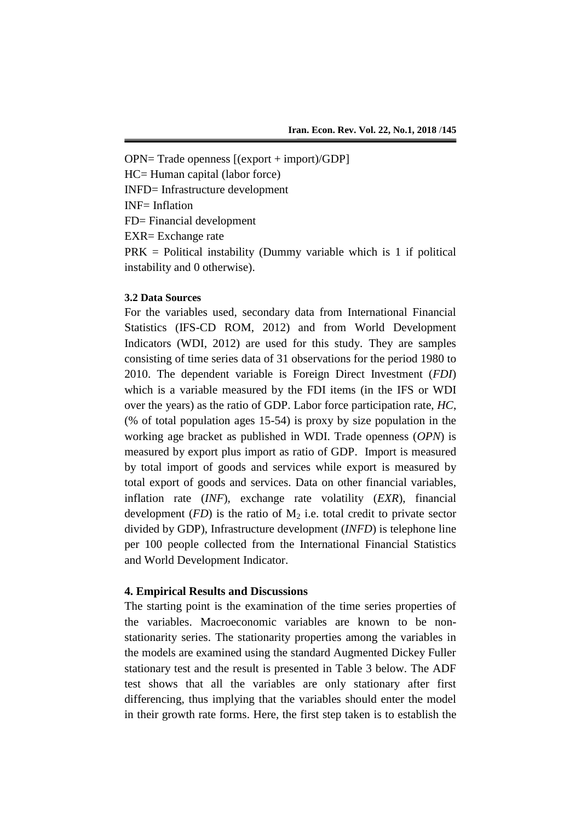OPN= Trade openness [(export + import)/GDP] HC= Human capital (labor force) INFD= Infrastructure development INF= Inflation FD= Financial development EXR= Exchange rate  $PRK =$  Political instability (Dummy variable which is 1 if political instability and 0 otherwise).

## **3.2 Data Sources**

For the variables used, secondary data from International Financial Statistics (IFS-CD ROM, 2012) and from World Development Indicators (WDI, 2012) are used for this study. They are samples consisting of time series data of 31 observations for the period 1980 to 2010. The dependent variable is Foreign Direct Investment (*FDI*) which is a variable measured by the FDI items (in the IFS or WDI over the years) as the ratio of GDP. Labor force participation rate, *HC*, (% of total population ages 15-54) is proxy by size population in the working age bracket as published in WDI. Trade openness (*OPN*) is measured by export plus import as ratio of GDP. Import is measured by total import of goods and services while export is measured by total export of goods and services. Data on other financial variables, inflation rate (*INF*), exchange rate volatility (*EXR*), financial development  $(FD)$  is the ratio of  $M_2$  i.e. total credit to private sector divided by GDP), Infrastructure development (*INFD*) is telephone line per 100 people collected from the International Financial Statistics and World Development Indicator.

### **4. Empirical Results and Discussions**

The starting point is the examination of the time series properties of the variables. Macroeconomic variables are known to be nonstationarity series. The stationarity properties among the variables in the models are examined using the standard Augmented Dickey Fuller stationary test and the result is presented in Table 3 below. The ADF test shows that all the variables are only stationary after first differencing, thus implying that the variables should enter the model in their growth rate forms. Here, the first step taken is to establish the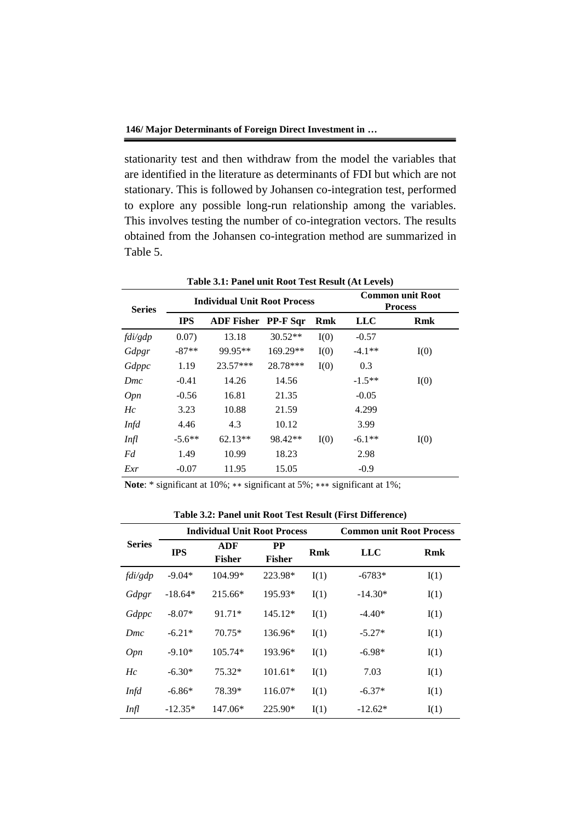stationarity test and then withdraw from the model the variables that are identified in the literature as determinants of FDI but which are not stationary. This is followed by Johansen co-integration test, performed to explore any possible long-run relationship among the variables. This involves testing the number of co-integration vectors. The results obtained from the Johansen co-integration method are summarized in Table 5.

| Table 3.1: Panel unit Root Test Result (At Levels) |            |                                     |                 |            |            |                                    |  |
|----------------------------------------------------|------------|-------------------------------------|-----------------|------------|------------|------------------------------------|--|
| <b>Series</b>                                      |            | <b>Individual Unit Root Process</b> |                 |            |            | Common unit Root<br><b>Process</b> |  |
|                                                    | <b>IPS</b> | <b>ADF Fisher</b>                   | <b>PP-F Sqr</b> | <b>Rmk</b> | <b>LLC</b> | <b>Rmk</b>                         |  |
| fdi/gdp                                            | 0.07)      | 13.18                               | $30.52**$       | I(0)       | $-0.57$    |                                    |  |
| Gdpgr                                              | $-87**$    | 99.95**                             | 169.29**        | I(0)       | $-4.1**$   | I(0)                               |  |
| Gdppc                                              | 1.19       | 23.57***                            | 28.78***        | I(0)       | 0.3        |                                    |  |
| Dmc                                                | $-0.41$    | 14.26                               | 14.56           |            | $-1.5**$   | I(0)                               |  |
| Opn                                                | $-0.56$    | 16.81                               | 21.35           |            | $-0.05$    |                                    |  |
| Hc                                                 | 3.23       | 10.88                               | 21.59           |            | 4.299      |                                    |  |
| <b>Infd</b>                                        | 4.46       | 4.3                                 | 10.12           |            | 3.99       |                                    |  |
| Infl                                               | $-5.6**$   | $62.13**$                           | 98.42**         | I(0)       | $-6.1**$   | I(0)                               |  |
| Fd                                                 | 1.49       | 10.99                               | 18.23           |            | 2.98       |                                    |  |
| Exr                                                | $-0.07$    | 11.95                               | 15.05           |            | $-0.9$     |                                    |  |

**Note**: \* significant at 10%; ∗∗ significant at 5%; ∗∗∗ significant at 1%;

**Table 3.2: Panel unit Root Test Result (First Difference)**

|               | <b>Individual Unit Root Process</b> |                      |                            |      | <b>Common unit Root Process</b> |      |  |
|---------------|-------------------------------------|----------------------|----------------------------|------|---------------------------------|------|--|
| <b>Series</b> | <b>IPS</b>                          | ADF<br><b>Fisher</b> | <b>PP</b><br><b>Fisher</b> | Rmk  | <b>LLC</b>                      | Rmk  |  |
| fdi/gdp       | $-9.04*$                            | 104.99*              | 223.98*                    | I(1) | $-6783*$                        | I(1) |  |
| Gdpgr         | $-18.64*$                           | $215.66*$            | 195.93*                    | I(1) | $-14.30*$                       | I(1) |  |
| Gdppc         | $-8.07*$                            | 91.71*               | $145.12*$                  | I(1) | $-4.40*$                        | I(1) |  |
| Dmc           | $-6.21*$                            | $70.75*$             | 136.96*                    | I(1) | $-5.27*$                        | I(1) |  |
| Opn           | $-9.10*$                            | $105.74*$            | 193.96*                    | I(1) | $-6.98*$                        | I(1) |  |
| Hc            | $-6.30*$                            | $75.32*$             | $101.61*$                  | I(1) | 7.03                            | I(1) |  |
| Infd          | $-6.86*$                            | 78.39*               | 116.07*                    | I(1) | $-6.37*$                        | I(1) |  |
| Infl          | $-12.35*$                           | $147.06*$            | 225.90*                    | I(1) | $-12.62*$                       | I(1) |  |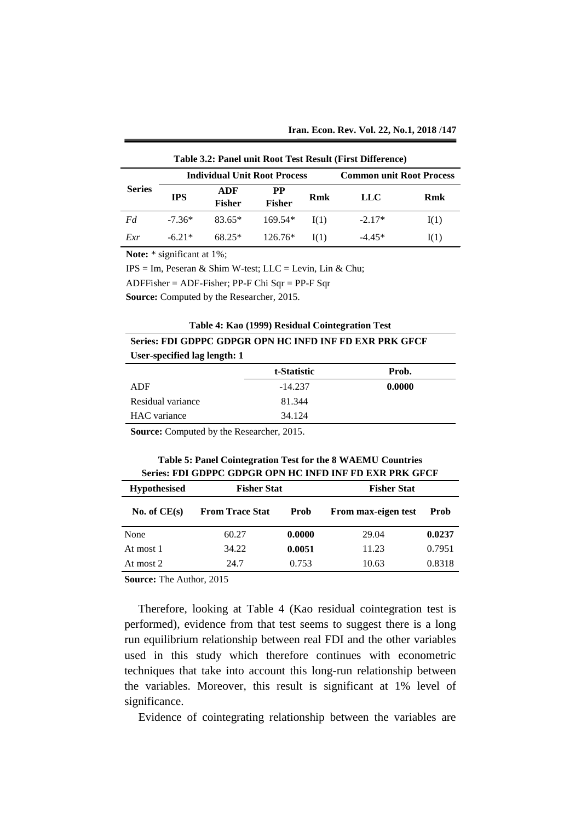| Table 3.2: Panel unit Root Test Result (First Difference) |                                                                        |                      |                            |      |          |            |  |
|-----------------------------------------------------------|------------------------------------------------------------------------|----------------------|----------------------------|------|----------|------------|--|
|                                                           | <b>Common unit Root Process</b><br><b>Individual Unit Root Process</b> |                      |                            |      |          |            |  |
| <b>Series</b>                                             | <b>IPS</b>                                                             | ADF<br><b>Fisher</b> | <b>PP</b><br><b>Fisher</b> | Rmk  | LLC      | <b>Rmk</b> |  |
| Fd                                                        | $-7.36*$                                                               | $83.65*$             | $169.54*$                  | I(1) | $-2.17*$ | I(1)       |  |
| Exr                                                       | $-6.21*$                                                               | $68.25*$             | $126.76*$                  | I(1) | $-4.45*$ | I(1)       |  |

**Note:** \* significant at 1%;

 $IPS = Im$ , Peseran & Shim W-test; LLC = Levin, Lin & Chu;

ADFFisher = ADF-Fisher; PP-F Chi Sqr = PP-F Sqr

**Source:** Computed by the Researcher, 2015.

| Series: FDI GDPPC GDPGR OPN HC INFD INF FD EXR PRK GFCF |  |  |
|---------------------------------------------------------|--|--|
| User-specified lag length: 1                            |  |  |

|                   | t-Statistic | Prob.  |
|-------------------|-------------|--------|
| ADF               | $-14.237$   | 0.0000 |
| Residual variance | 81.344      |        |
| HAC variance      | 34.124      |        |
|                   |             |        |

**Source:** Computed by the Researcher, 2015.

| Table 5: Panel Cointegration Test for the 8 WAEMU Countries |
|-------------------------------------------------------------|
| Series: FDI GDPPC GDPGR OPN HC INFD INF FD EXR PRK GFCF     |
|                                                             |

| <b>Fisher Stat</b><br><b>Hypothesised</b> |                        | <b>Fisher Stat</b> |                     |        |
|-------------------------------------------|------------------------|--------------------|---------------------|--------|
| No. of $CE(s)$                            | <b>From Trace Stat</b> | Prob               | From max-eigen test | Prob   |
| None                                      | 60.27                  | 0.0000             | 29.04               | 0.0237 |
| At most 1                                 | 34.22                  | 0.0051             | 11.23               | 0.7951 |
| At most 2                                 | 24.7                   | 0.753              | 10.63               | 0.8318 |

**Source:** The Author, 2015

Therefore, looking at Table 4 (Kao residual cointegration test is performed), evidence from that test seems to suggest there is a long run equilibrium relationship between real FDI and the other variables used in this study which therefore continues with econometric techniques that take into account this long-run relationship between the variables. Moreover, this result is significant at 1% level of significance.

Evidence of cointegrating relationship between the variables are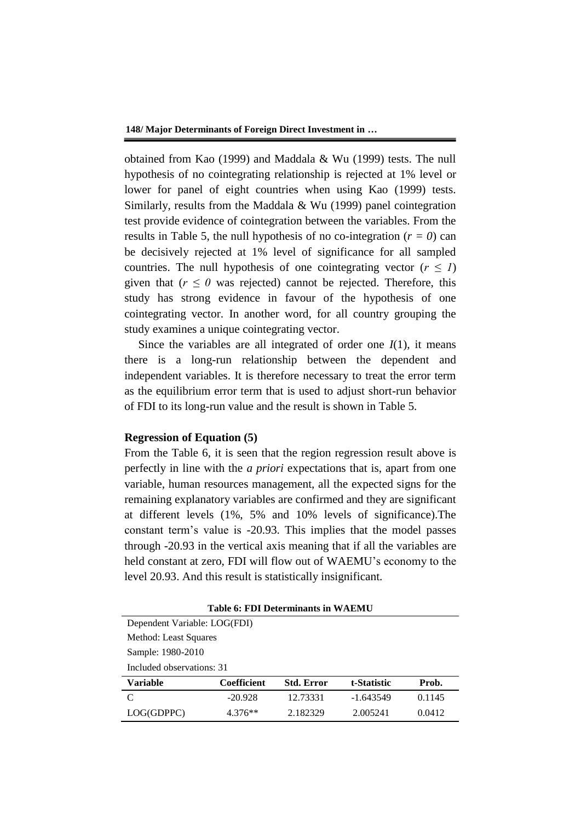obtained from Kao (1999) and Maddala & Wu (1999) tests. The null hypothesis of no cointegrating relationship is rejected at 1% level or lower for panel of eight countries when using Kao (1999) tests. Similarly, results from the Maddala & Wu (1999) panel cointegration test provide evidence of cointegration between the variables. From the results in Table 5, the null hypothesis of no co-integration  $(r = 0)$  can be decisively rejected at 1% level of significance for all sampled countries. The null hypothesis of one cointegrating vector  $(r \leq l)$ given that ( $r \leq 0$  was rejected) cannot be rejected. Therefore, this study has strong evidence in favour of the hypothesis of one cointegrating vector. In another word, for all country grouping the study examines a unique cointegrating vector.

Since the variables are all integrated of order one  $I(1)$ , it means there is a long-run relationship between the dependent and independent variables. It is therefore necessary to treat the error term as the equilibrium error term that is used to adjust short-run behavior of FDI to its long-run value and the result is shown in Table 5.

#### **Regression of Equation (5)**

From the Table 6, it is seen that the region regression result above is perfectly in line with the *a priori* expectations that is, apart from one variable, human resources management, all the expected signs for the remaining explanatory variables are confirmed and they are significant at different levels (1%, 5% and 10% levels of significance).The constant term's value is -20.93. This implies that the model passes through -20.93 in the vertical axis meaning that if all the variables are held constant at zero, FDI will flow out of WAEMU's economy to the level 20.93. And this result is statistically insignificant.

| Dependent Variable: LOG(FDI) |                    |                   |             |        |  |  |  |  |
|------------------------------|--------------------|-------------------|-------------|--------|--|--|--|--|
| Method: Least Squares        |                    |                   |             |        |  |  |  |  |
|                              |                    |                   |             |        |  |  |  |  |
| Sample: 1980-2010            |                    |                   |             |        |  |  |  |  |
| Included observations: 31    |                    |                   |             |        |  |  |  |  |
| Variable                     | <b>Coefficient</b> |                   |             |        |  |  |  |  |
|                              |                    | <b>Std. Error</b> | t-Statistic | Prob.  |  |  |  |  |
| C                            | $-20.928$          | 12.73331          | $-1.643549$ | 0.1145 |  |  |  |  |

**Table 6: FDI Determinants in WAEMU**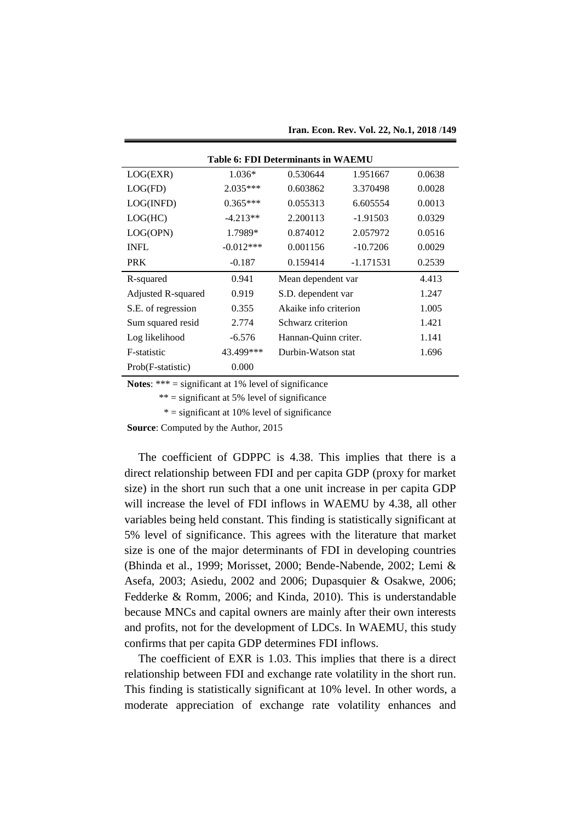| <b>Table 6: FDI Determinants in WAEMU</b> |             |                       |             |        |  |  |
|-------------------------------------------|-------------|-----------------------|-------------|--------|--|--|
| LOG(EXR)                                  | $1.036*$    | 0.530644              | 1.951667    | 0.0638 |  |  |
| LOG(FD)                                   | $2.035***$  | 0.603862              | 3.370498    | 0.0028 |  |  |
| LOG(INFD)                                 | $0.365***$  | 0.055313              | 6.605554    | 0.0013 |  |  |
| LOG(HC)                                   | $-4.213**$  | 2.200113              | $-1.91503$  | 0.0329 |  |  |
| LOG(OPN)                                  | 1.7989*     | 0.874012              | 2.057972    | 0.0516 |  |  |
| <b>INFL</b>                               | $-0.012***$ | 0.001156              | $-10.7206$  | 0.0029 |  |  |
| <b>PRK</b>                                | $-0.187$    | 0.159414              | $-1.171531$ | 0.2539 |  |  |
| R-squared                                 | 0.941       | Mean dependent var    |             | 4.413  |  |  |
| Adjusted R-squared                        | 0.919       | S.D. dependent var    |             | 1.247  |  |  |
| S.E. of regression                        | 0.355       | Akaike info criterion |             | 1.005  |  |  |
| Sum squared resid                         | 2.774       | Schwarz criterion     |             | 1.421  |  |  |
| Log likelihood                            | $-6.576$    | Hannan-Quinn criter.  |             | 1.141  |  |  |
| F-statistic                               | 43.499***   | Durbin-Watson stat    |             | 1.696  |  |  |
| Prob(F-statistic)                         | 0.000       |                       |             |        |  |  |

**Iran. Econ. Rev. Vol. 22, No.1, 2018 /149**

**Notes**: \*\*\* = significant at 1% level of significance

 $** =$  significant at 5% level of significance

 $* =$  significant at 10% level of significance

**Source**: Computed by the Author, 2015

The coefficient of GDPPC is 4.38. This implies that there is a direct relationship between FDI and per capita GDP (proxy for market size) in the short run such that a one unit increase in per capita GDP will increase the level of FDI inflows in WAEMU by 4.38, all other variables being held constant. This finding is statistically significant at 5% level of significance. This agrees with the literature that market size is one of the major determinants of FDI in developing countries (Bhinda et al., 1999; Morisset, 2000; Bende-Nabende, 2002; Lemi & Asefa, 2003; Asiedu, 2002 and 2006; Dupasquier & Osakwe, 2006; Fedderke & Romm, 2006; and Kinda, 2010). This is understandable because MNCs and capital owners are mainly after their own interests and profits, not for the development of LDCs. In WAEMU, this study confirms that per capita GDP determines FDI inflows.

The coefficient of EXR is 1.03. This implies that there is a direct relationship between FDI and exchange rate volatility in the short run. This finding is statistically significant at 10% level. In other words, a moderate appreciation of exchange rate volatility enhances and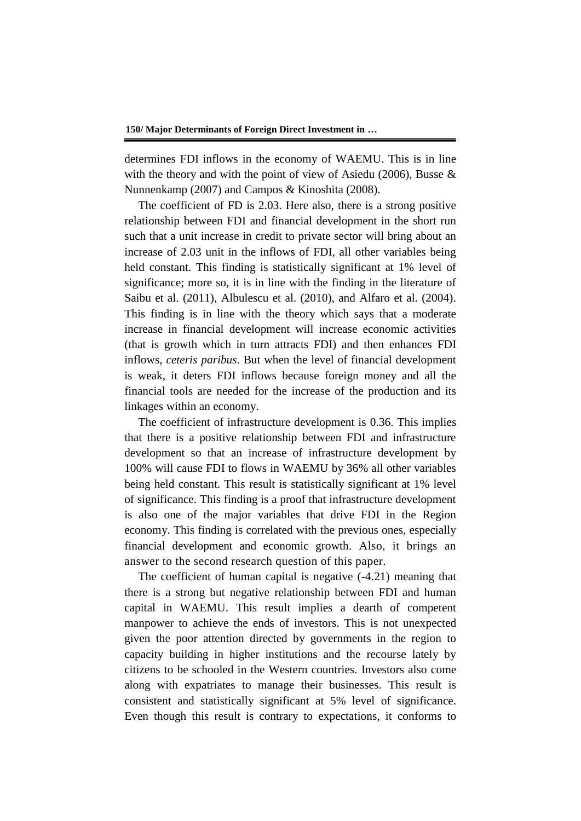determines FDI inflows in the economy of WAEMU. This is in line with the theory and with the point of view of Asiedu (2006), Busse & Nunnenkamp (2007) and Campos & Kinoshita (2008).

The coefficient of FD is 2.03. Here also, there is a strong positive relationship between FDI and financial development in the short run such that a unit increase in credit to private sector will bring about an increase of 2.03 unit in the inflows of FDI, all other variables being held constant. This finding is statistically significant at 1% level of significance; more so, it is in line with the finding in the literature of Saibu et al. (2011), Albulescu et al. (2010), and Alfaro et al. (2004). This finding is in line with the theory which says that a moderate increase in financial development will increase economic activities (that is growth which in turn attracts FDI) and then enhances FDI inflows, *ceteris paribus*. But when the level of financial development is weak, it deters FDI inflows because foreign money and all the financial tools are needed for the increase of the production and its linkages within an economy.

The coefficient of infrastructure development is 0.36. This implies that there is a positive relationship between FDI and infrastructure development so that an increase of infrastructure development by 100% will cause FDI to flows in WAEMU by 36% all other variables being held constant. This result is statistically significant at 1% level of significance. This finding is a proof that infrastructure development is also one of the major variables that drive FDI in the Region economy. This finding is correlated with the previous ones, especially financial development and economic growth. Also, it brings an answer to the second research question of this paper.

The coefficient of human capital is negative (-4.21) meaning that there is a strong but negative relationship between FDI and human capital in WAEMU. This result implies a dearth of competent manpower to achieve the ends of investors. This is not unexpected given the poor attention directed by governments in the region to capacity building in higher institutions and the recourse lately by citizens to be schooled in the Western countries. Investors also come along with expatriates to manage their businesses. This result is consistent and statistically significant at 5% level of significance. Even though this result is contrary to expectations, it conforms to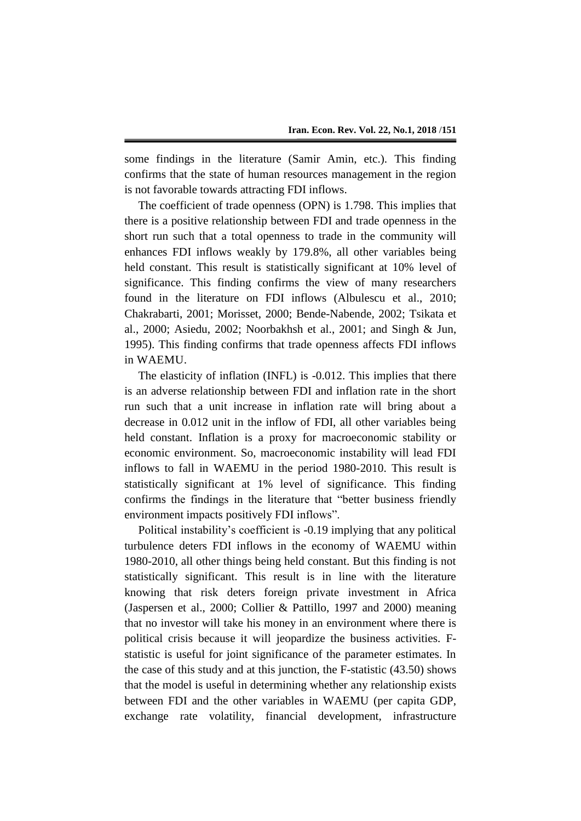some findings in the literature (Samir Amin, etc.). This finding confirms that the state of human resources management in the region is not favorable towards attracting FDI inflows.

The coefficient of trade openness (OPN) is 1.798. This implies that there is a positive relationship between FDI and trade openness in the short run such that a total openness to trade in the community will enhances FDI inflows weakly by 179.8%, all other variables being held constant. This result is statistically significant at 10% level of significance. This finding confirms the view of many researchers found in the literature on FDI inflows (Albulescu et al., 2010; Chakrabarti, 2001; Morisset, 2000; Bende-Nabende, 2002; Tsikata et al., 2000; Asiedu, 2002; Noorbakhsh et al., 2001; and Singh & Jun, 1995). This finding confirms that trade openness affects FDI inflows in WAEMU.

The elasticity of inflation (INFL) is -0.012. This implies that there is an adverse relationship between FDI and inflation rate in the short run such that a unit increase in inflation rate will bring about a decrease in 0.012 unit in the inflow of FDI, all other variables being held constant. Inflation is a proxy for macroeconomic stability or economic environment. So, macroeconomic instability will lead FDI inflows to fall in WAEMU in the period 1980-2010. This result is statistically significant at 1% level of significance. This finding confirms the findings in the literature that "better business friendly environment impacts positively FDI inflows".

Political instability's coefficient is -0.19 implying that any political turbulence deters FDI inflows in the economy of WAEMU within 1980-2010, all other things being held constant. But this finding is not statistically significant. This result is in line with the literature knowing that risk deters foreign private investment in Africa (Jaspersen et al., 2000; Collier & Pattillo, 1997 and 2000) meaning that no investor will take his money in an environment where there is political crisis because it will jeopardize the business activities. Fstatistic is useful for joint significance of the parameter estimates. In the case of this study and at this junction, the F-statistic (43.50) shows that the model is useful in determining whether any relationship exists between FDI and the other variables in WAEMU (per capita GDP, exchange rate volatility, financial development, infrastructure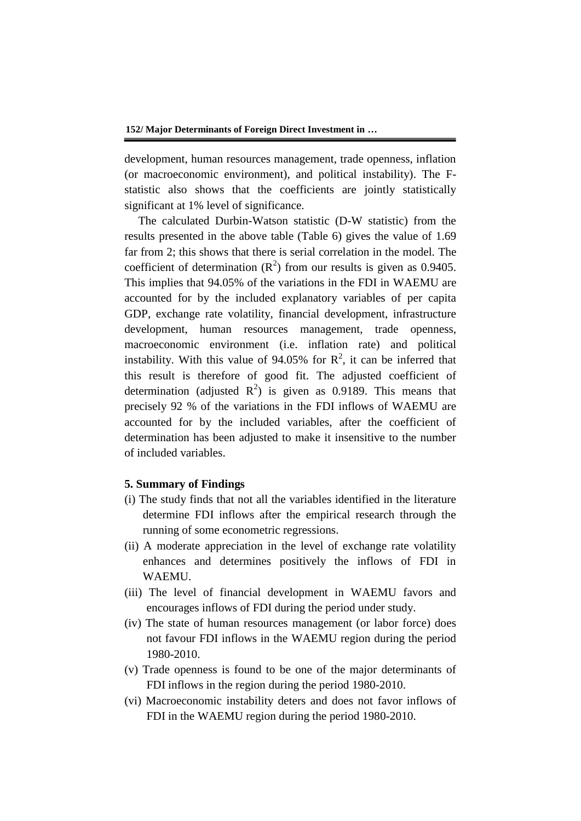development, human resources management, trade openness, inflation (or macroeconomic environment), and political instability). The Fstatistic also shows that the coefficients are jointly statistically significant at 1% level of significance.

The calculated Durbin-Watson statistic (D-W statistic) from the results presented in the above table (Table 6) gives the value of 1.69 far from 2; this shows that there is serial correlation in the model. The coefficient of determination  $(R^2)$  from our results is given as 0.9405. This implies that 94.05% of the variations in the FDI in WAEMU are accounted for by the included explanatory variables of per capita GDP, exchange rate volatility, financial development, infrastructure development, human resources management, trade openness, macroeconomic environment (i.e. inflation rate) and political instability. With this value of 94.05% for  $R^2$ , it can be inferred that this result is therefore of good fit. The adjusted coefficient of determination (adjusted  $R^2$ ) is given as 0.9189. This means that precisely 92 % of the variations in the FDI inflows of WAEMU are accounted for by the included variables, after the coefficient of determination has been adjusted to make it insensitive to the number of included variables.

#### **5. Summary of Findings**

- (i) The study finds that not all the variables identified in the literature determine FDI inflows after the empirical research through the running of some econometric regressions.
- (ii) A moderate appreciation in the level of exchange rate volatility enhances and determines positively the inflows of FDI in WAEMU.
- (iii) The level of financial development in WAEMU favors and encourages inflows of FDI during the period under study.
- (iv) The state of human resources management (or labor force) does not favour FDI inflows in the WAEMU region during the period 1980-2010.
- (v) Trade openness is found to be one of the major determinants of FDI inflows in the region during the period 1980-2010.
- (vi) Macroeconomic instability deters and does not favor inflows of FDI in the WAEMU region during the period 1980-2010.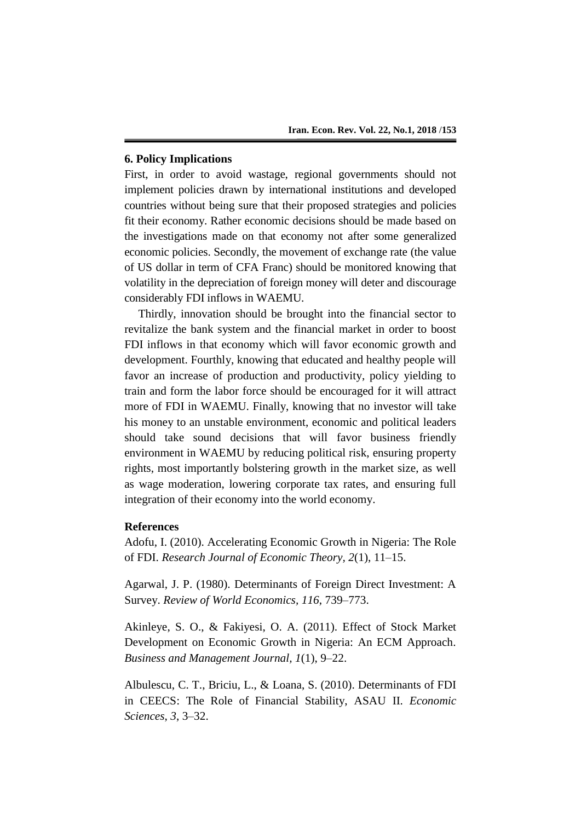# **6. Policy Implications**

First, in order to avoid wastage, regional governments should not implement policies drawn by international institutions and developed countries without being sure that their proposed strategies and policies fit their economy. Rather economic decisions should be made based on the investigations made on that economy not after some generalized economic policies. Secondly, the movement of exchange rate (the value of US dollar in term of CFA Franc) should be monitored knowing that volatility in the depreciation of foreign money will deter and discourage considerably FDI inflows in WAEMU.

Thirdly, innovation should be brought into the financial sector to revitalize the bank system and the financial market in order to boost FDI inflows in that economy which will favor economic growth and development. Fourthly, knowing that educated and healthy people will favor an increase of production and productivity, policy yielding to train and form the labor force should be encouraged for it will attract more of FDI in WAEMU. Finally, knowing that no investor will take his money to an unstable environment, economic and political leaders should take sound decisions that will favor business friendly environment in WAEMU by reducing political risk, ensuring property rights, most importantly bolstering growth in the market size, as well as wage moderation, lowering corporate tax rates, and ensuring full integration of their economy into the world economy.

#### **References**

Adofu, I. (2010). Accelerating Economic Growth in Nigeria: The Role of FDI. *Research Journal of Economic Theory, 2*(1), 11–15.

Agarwal, J. P. (1980). Determinants of Foreign Direct Investment: A Survey. *Review of World Economics, 116*, 739–773.

Akinleye, S. O., & Fakiyesi, O. A. (2011). Effect of Stock Market Development on Economic Growth in Nigeria: An ECM Approach. *Business and Management Journal, 1*(1), 9–22.

Albulescu, C. T., Briciu, L., & Loana, S. (2010). Determinants of FDI in CEECS: The Role of Financial Stability, ASAU II. *Economic Sciences*, *3*, 3–32.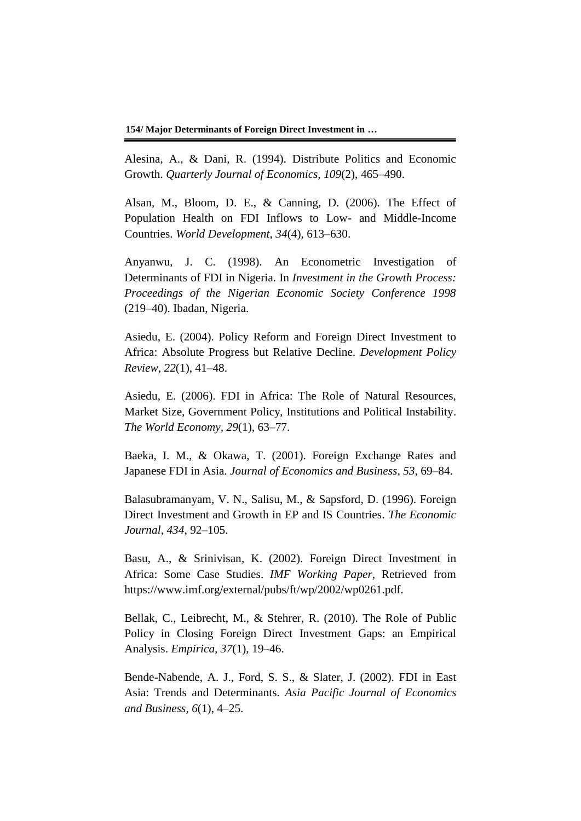Alesina, A., & Dani, R. (1994). Distribute Politics and Economic Growth. *Quarterly Journal of Economics, 109*(2), 465–490.

Alsan, M., Bloom, D. E., & Canning, D. (2006). The Effect of Population Health on FDI Inflows to Low- and Middle-Income Countries. *World Development*, *34*(4), 613–630.

Anyanwu, J. C. (1998). An Econometric Investigation of Determinants of FDI in Nigeria. In *Investment in the Growth Process: Proceedings of the Nigerian Economic Society Conference 1998* (219–40). Ibadan, Nigeria.

Asiedu, E. (2004). Policy Reform and Foreign Direct Investment to Africa: Absolute Progress but Relative Decline. *Development Policy Review, 22*(1), 41–48.

Asiedu, E. (2006). FDI in Africa: The Role of Natural Resources, Market Size, Government Policy, Institutions and Political Instability. *The World Economy, 29*(1), 63–77.

Baeka, I. M., & Okawa, T. (2001). Foreign Exchange Rates and Japanese FDI in Asia. *Journal of Economics and Business, 53*, 69–84.

Balasubramanyam, V. N., Salisu, M., & Sapsford, D. (1996). Foreign Direct Investment and Growth in EP and IS Countries. *The Economic Journal*, *434*, 92–105.

Basu, A., & Srinivisan, K. (2002). Foreign Direct Investment in Africa: Some Case Studies. *IMF Working Paper,* Retrieved from https://www.imf.org/external/pubs/ft/wp/2002/wp0261.pdf.

Bellak, C., Leibrecht, M., & Stehrer, R. (2010). The Role of Public Policy in Closing Foreign Direct Investment Gaps: an Empirical Analysis. *Empirica, 37*(1), 19–46.

Bende-Nabende, A. J., Ford, S. S., & Slater, J. (2002). FDI in East Asia: Trends and Determinants. *Asia Pacific Journal of Economics and Business, 6*(1), 4–25.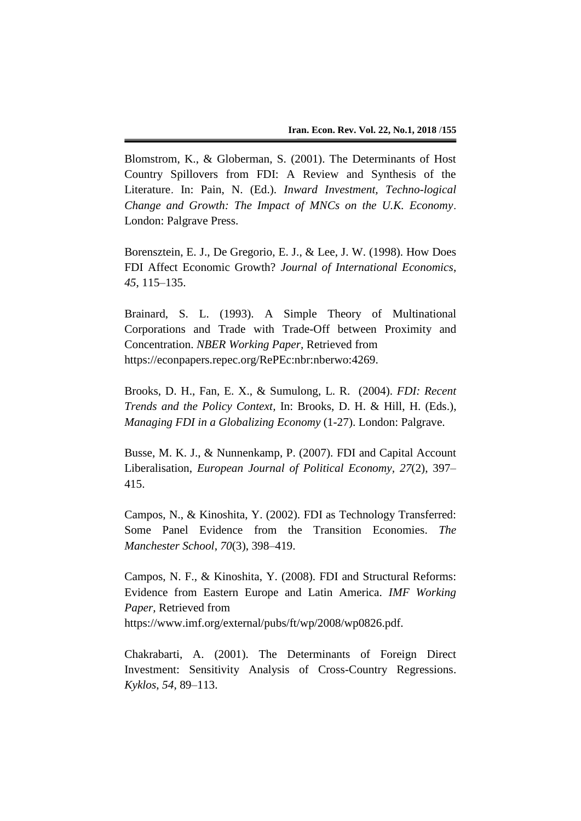Blomstrom, K., & Globerman, S. (2001). The Determinants of Host Country Spillovers from FDI: A Review and Synthesis of the Literature. In: Pain, N. (Ed.). *Inward Investment, Techno-logical Change and Growth: The Impact of MNCs on the U.K. Economy*. London: Palgrave Press.

Borensztein, E. J., De Gregorio, E. J., & Lee, J. W. (1998). How Does FDI Affect Economic Growth? *Journal of International Economics*, *45*, 115–135.

Brainard, S. L. (1993). A Simple Theory of Multinational Corporations and Trade with Trade-Off between Proximity and Concentration. *NBER Working Paper,* Retrieved from https://econpapers.repec.org/RePEc:nbr:nberwo:4269.

Brooks, D. H., Fan, E. X., & Sumulong, L. R. (2004). *FDI: Recent Trends and the Policy Context,* In: Brooks, D. H. & Hill, H. (Eds.), *Managing FDI in a Globalizing Economy* (1-27). London: Palgrave.

Busse, M. K. J., & Nunnenkamp, P. (2007). FDI and Capital Account Liberalisation, *European Journal of Political Economy, 27*(2), 397– 415.

Campos, N., & Kinoshita, Y. (2002). FDI as Technology Transferred: Some Panel Evidence from the Transition Economies. *The Manchester School*, *70*(3), 398–419.

Campos, N. F., & Kinoshita, Y. (2008). FDI and Structural Reforms: Evidence from Eastern Europe and Latin America. *IMF Working Paper,* Retrieved from https://www.imf.org/external/pubs/ft/wp/2008/wp0826.pdf.

Chakrabarti, A. (2001). The Determinants of Foreign Direct Investment: Sensitivity Analysis of Cross-Country Regressions. *Kyklos*, *54*, 89–113.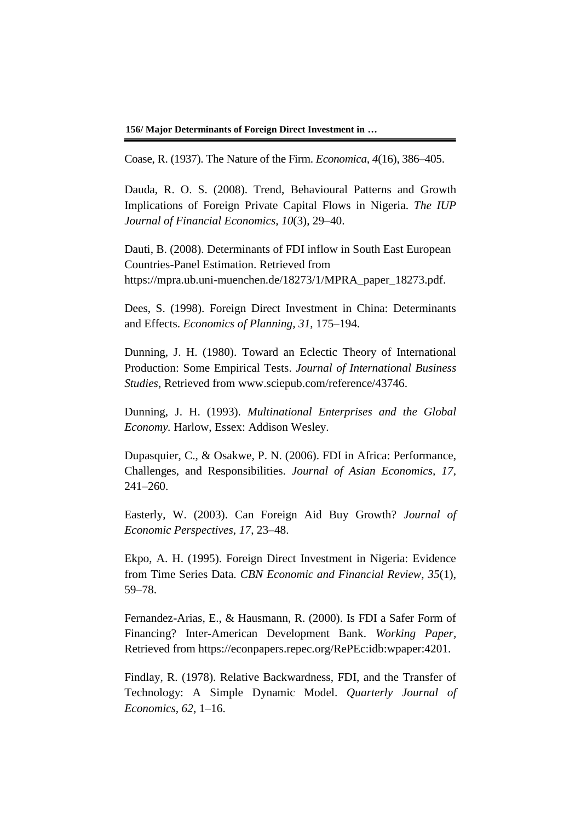**156/ Major Determinants of Foreign Direct Investment in …**

Coase, R. (1937). The Nature of the Firm. *Economica, 4*(16), 386–405.

Dauda, R. O. S. (2008). Trend, Behavioural Patterns and Growth Implications of Foreign Private Capital Flows in Nigeria. *The IUP Journal of Financial Economics, 10*(3), 29–40.

Dauti, B. (2008). Determinants of FDI inflow in South East European Countries-Panel Estimation. Retrieved from https://mpra.ub.uni-muenchen.de/18273/1/MPRA\_paper\_18273.pdf.

Dees, S. (1998). Foreign Direct Investment in China: Determinants and Effects. *Economics of Planning, 31*, 175–194.

Dunning, J. H. (1980). Toward an Eclectic Theory of International Production: Some Empirical Tests. *Journal of International Business Studies*, Retrieved from www.sciepub.com/reference/43746.

Dunning, J. H. (1993). *Multinational Enterprises and the Global Economy.* Harlow, Essex: Addison Wesley.

Dupasquier, C., & Osakwe, P. N. (2006). FDI in Africa: Performance, Challenges, and Responsibilities. *Journal of Asian Economics, 17*, 241–260.

Easterly, W. (2003). Can Foreign Aid Buy Growth? *Journal of Economic Perspectives*, *17*, 23–48.

Ekpo, A. H. (1995). Foreign Direct Investment in Nigeria: Evidence from Time Series Data. *CBN Economic and Financial Review*, *35*(1), 59–78.

Fernandez-Arias, E., & Hausmann, R. (2000). Is FDI a Safer Form of Financing? Inter-American Development Bank. *Working Paper,* Retrieved from https://econpapers.repec.org/RePEc:idb:wpaper:4201.

Findlay, R. (1978). Relative Backwardness, FDI, and the Transfer of Technology: A Simple Dynamic Model. *Quarterly Journal of Economics, 62*, 1–16.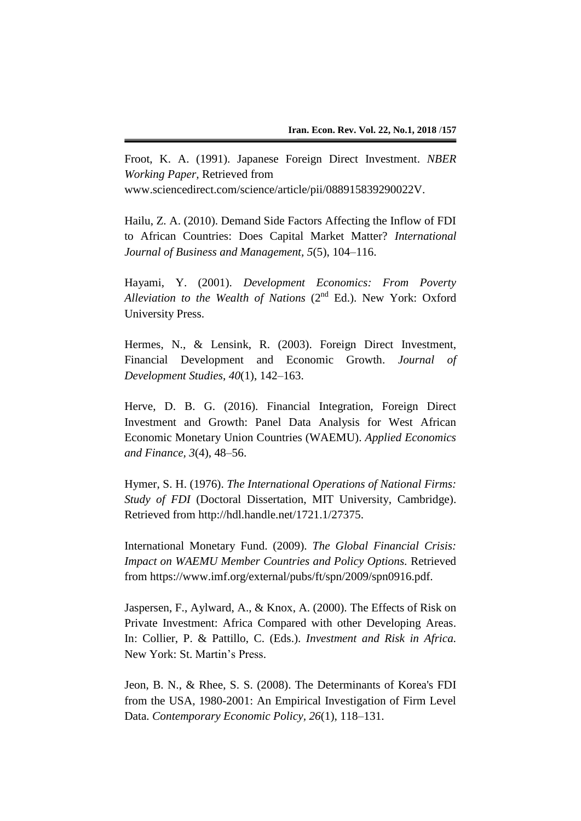Froot, K. A. (1991). Japanese Foreign Direct Investment. *NBER Working Paper,* Retrieved from

www.sciencedirect.com/science/article/pii/088915839290022V.

Hailu, Z. A. (2010). Demand Side Factors Affecting the Inflow of FDI to African Countries: Does Capital Market Matter? *International Journal of Business and Management, 5*(5), 104–116.

Hayami, Y. (2001). *Development Economics: From Poverty*  Alleviation to the Wealth of Nations (2<sup>nd</sup> Ed.). New York: Oxford University Press.

Hermes, N., & Lensink, R. (2003). Foreign Direct Investment, Financial Development and Economic Growth. *Journal of Development Studies*, *40*(1), 142–163.

Herve, D. B. G. (2016). Financial Integration, Foreign Direct Investment and Growth: Panel Data Analysis for West African Economic Monetary Union Countries (WAEMU). *Applied Economics and Finance, 3*(4), 48–56.

Hymer, S. H. (1976). *The International Operations of National Firms: Study of FDI* (Doctoral Dissertation, MIT University, Cambridge). Retrieved from http://hdl.handle.net/1721.1/27375.

International Monetary Fund. (2009). *The Global Financial Crisis: Impact on WAEMU Member Countries and Policy Options.* Retrieved from https://www.imf.org/external/pubs/ft/spn/2009/spn0916.pdf.

Jaspersen, F., Aylward, A., & Knox, A. (2000). The Effects of Risk on Private Investment: Africa Compared with other Developing Areas. In: Collier, P. & Pattillo, C. (Eds.). *Investment and Risk in Africa.* New York: St. Martin's Press.

Jeon, B. N., & Rhee, S. S. (2008). The Determinants of Korea's FDI from the USA, 1980-2001: An Empirical Investigation of Firm Level Data. *Contemporary Economic Policy, 26*(1), 118–131.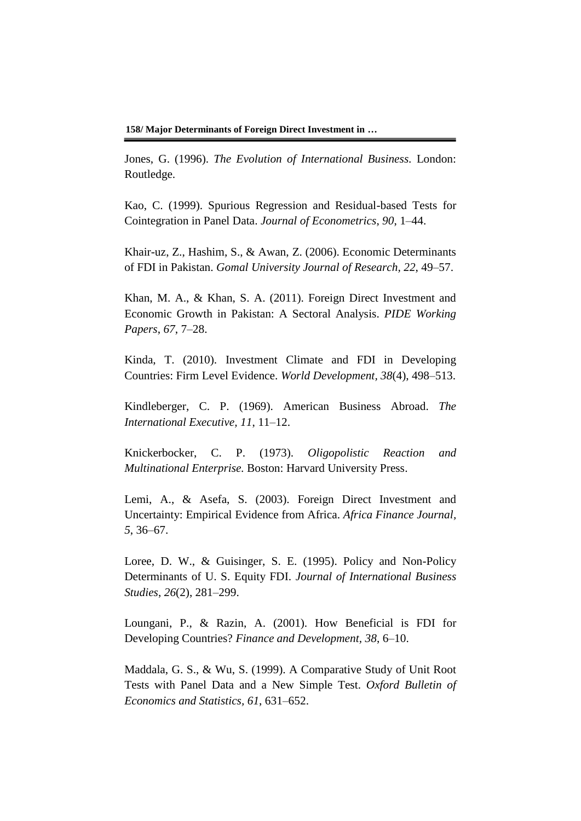**158/ Major Determinants of Foreign Direct Investment in …**

Jones, G. (1996). *The Evolution of International Business.* London: Routledge.

Kao, C. (1999). Spurious Regression and Residual-based Tests for Cointegration in Panel Data. *Journal of Econometrics*, *90*, 1–44.

Khair-uz, Z., Hashim, S., & Awan, Z. (2006). Economic Determinants of FDI in Pakistan. *Gomal University Journal of Research, 22*, 49–57.

Khan, M. A., & Khan, S. A. (2011). Foreign Direct Investment and Economic Growth in Pakistan: A Sectoral Analysis. *PIDE Working Papers*, *67*, 7–28.

Kinda, T. (2010). Investment Climate and FDI in Developing Countries: Firm Level Evidence. *World Development, 38*(4), 498–513.

Kindleberger, C. P. (1969). American Business Abroad. *The International Executive, 11*, 11–12.

Knickerbocker, C. P. (1973). *Oligopolistic Reaction and Multinational Enterprise.* Boston: Harvard University Press.

Lemi, A., & Asefa, S. (2003). Foreign Direct Investment and Uncertainty: Empirical Evidence from Africa. *Africa Finance Journal, 5*, 36–67.

Loree, D. W., & Guisinger, S. E. (1995). Policy and Non-Policy Determinants of U. S. Equity FDI. *Journal of International Business Studies*, *26*(2), 281–299.

Loungani, P., & Razin, A. (2001). How Beneficial is FDI for Developing Countries? *Finance and Development, 38*, 6–10.

Maddala, G. S., & Wu, S. (1999). A Comparative Study of Unit Root Tests with Panel Data and a New Simple Test. *Oxford Bulletin of Economics and Statistics, 61*, 631–652.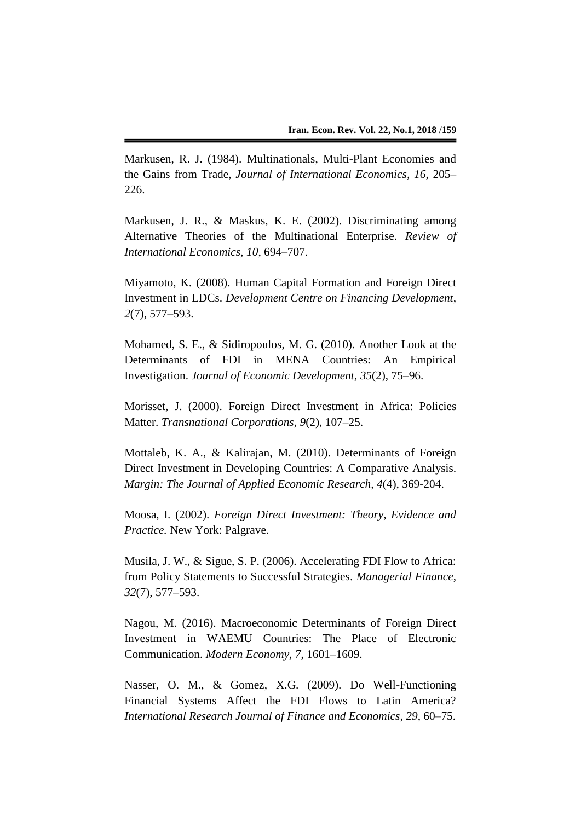Markusen, R. J. (1984). Multinationals, Multi-Plant Economies and the Gains from Trade, *Journal of International Economics, 16*, 205– 226.

Markusen, J. R., & Maskus, K. E. (2002). Discriminating among Alternative Theories of the Multinational Enterprise. *Review of International Economics*, *10*, 694–707.

Miyamoto, K. (2008). Human Capital Formation and Foreign Direct Investment in LDCs. *Development Centre on Financing Development*, *2*(7), 577–593.

Mohamed, S. E., & Sidiropoulos, M. G. (2010). Another Look at the Determinants of FDI in MENA Countries: An Empirical Investigation. *Journal of Economic Development, 35*(2), 75–96.

Morisset, J. (2000). Foreign Direct Investment in Africa: Policies Matter. *Transnational Corporations*, *9*(2), 107–25.

Mottaleb, K. A., & Kalirajan, M. (2010). Determinants of Foreign Direct Investment in Developing Countries: A Comparative Analysis. *Margin: The Journal of Applied Economic Research, 4*(4), 369-204.

Moosa, I. (2002). *Foreign Direct Investment: Theory, Evidence and Practice.* New York: Palgrave.

Musila, J. W., & Sigue, S. P. (2006). Accelerating FDI Flow to Africa: from Policy Statements to Successful Strategies. *Managerial Finance*, *32*(7), 577–593.

Nagou, M. (2016). Macroeconomic Determinants of Foreign Direct Investment in WAEMU Countries: The Place of Electronic Communication. *Modern Economy, 7*, 1601–1609.

Nasser, O. M., & Gomez, X.G. (2009). Do Well-Functioning Financial Systems Affect the FDI Flows to Latin America? *International Research Journal of Finance and Economics, 29*, 60–75.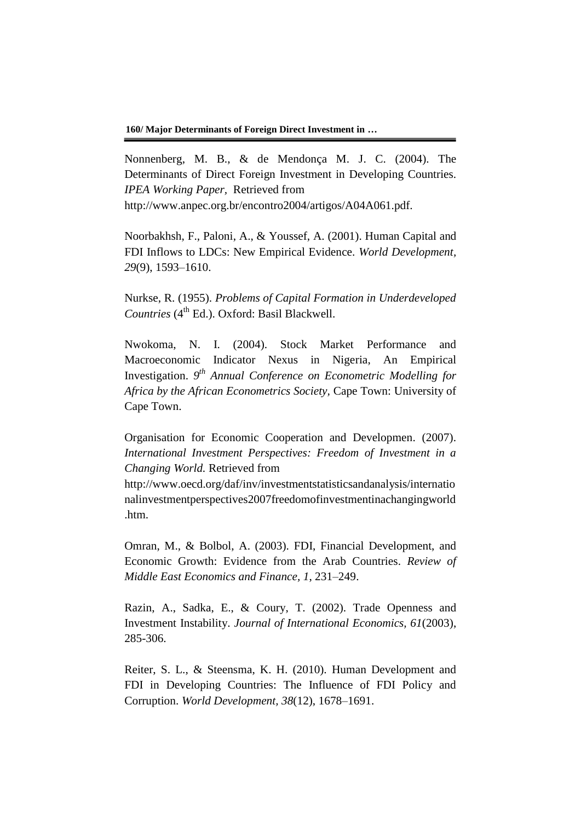Nonnenberg, M. B., & de Mendonça M. J. C. (2004). The Determinants of Direct Foreign Investment in Developing Countries. *IPEA Working Paper,* Retrieved from http://www.anpec.org.br/encontro2004/artigos/A04A061.pdf.

Noorbakhsh, F., Paloni, A., & Youssef, A. (2001). Human Capital and FDI Inflows to LDCs: New Empirical Evidence. *World Development, 29*(9), 1593–1610.

Nurkse, R. (1955). *Problems of Capital Formation in Underdeveloped*  Countries (4<sup>th</sup> Ed.). Oxford: Basil Blackwell.

Nwokoma, N. I. (2004). Stock Market Performance and Macroeconomic Indicator Nexus in Nigeria, An Empirical Investigation. *9 th Annual Conference on Econometric Modelling for Africa by the African Econometrics Society,* Cape Town: University of Cape Town.

Organisation for Economic Cooperation and Developmen. (2007). *International Investment Perspectives: Freedom of Investment in a Changing World.* Retrieved from

http://www.oecd.org/daf/inv/investmentstatisticsandanalysis/internatio nalinvestmentperspectives2007freedomofinvestmentinachangingworld .htm.

Omran, M., & Bolbol, A. (2003). FDI, Financial Development, and Economic Growth: Evidence from the Arab Countries. *Review of Middle East Economics and Finance, 1*, 231–249.

Razin, A., Sadka, E., & Coury, T. (2002). Trade Openness and Investment Instability. *Journal of International Economics, 61*(2003), 285-306.

Reiter, S. L., & Steensma, K. H. (2010). Human Development and FDI in Developing Countries: The Influence of FDI Policy and Corruption. *World Development, 38*(12), 1678–1691.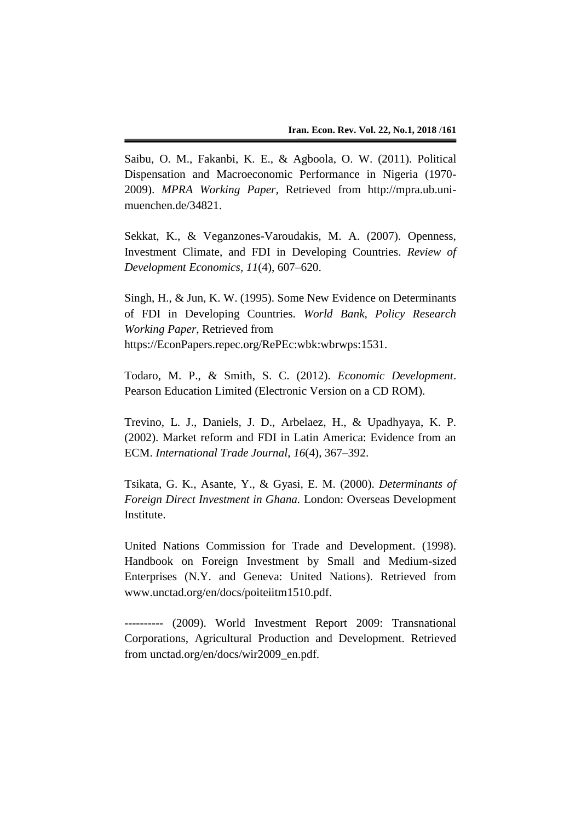Saibu, O. M., Fakanbi, K. E., & Agboola, O. W. (2011). Political Dispensation and Macroeconomic Performance in Nigeria (1970- 2009). *MPRA Working Paper,* Retrieved from http://mpra.ub.unimuenchen.de/34821.

Sekkat, K., & Veganzones-Varoudakis, M. A. (2007). Openness, Investment Climate, and FDI in Developing Countries. *Review of Development Economics, 11*(4), 607–620.

Singh, H., & Jun, K. W. (1995). Some New Evidence on Determinants of FDI in Developing Countries. *World Bank, Policy Research Working Paper*, Retrieved from https://EconPapers.repec.org/RePEc:wbk:wbrwps:1531.

Todaro, M. P., & Smith, S. C. (2012). *Economic Development*. Pearson Education Limited (Electronic Version on a CD ROM).

Trevino, L. J., Daniels, J. D., Arbelaez, H., & Upadhyaya, K. P. (2002). Market reform and FDI in Latin America: Evidence from an ECM. *International Trade Journal*, *16*(4), 367–392.

Tsikata, G. K., Asante, Y., & Gyasi, E. M. (2000). *Determinants of Foreign Direct Investment in Ghana.* London: Overseas Development Institute.

United Nations Commission for Trade and Development. (1998). Handbook on Foreign Investment by Small and Medium-sized Enterprises (N.Y. and Geneva: United Nations). Retrieved from www.unctad.org/en/docs/poiteiitm1510.pdf.

---------- (2009). World Investment Report 2009: Transnational Corporations, Agricultural Production and Development. Retrieved from unctad.org/en/docs/wir2009\_en.pdf.